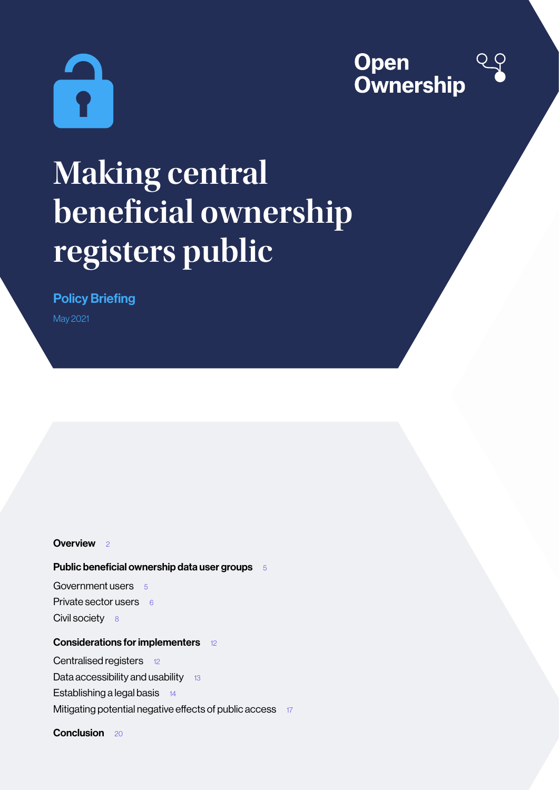



# **Making central beneficial ownership registers public**

Policy Briefing

May 2021

### [Overview](#page-1-0) 2

## [Public beneficial ownership data user groups](#page-4-0) 5

[Government users](#page-4-0) 5 [Private sector users](#page-5-0)  $66$ [Civil society](#page-7-0) 8

# [Considerations for implementers](#page-11-0) 12

[Centralised registers](#page-11-0) 12

[Data accessibility and usability](#page-12-0)  $13$ 

[Establishing a legal basis](#page-13-0) 14

[Mitigating potential negative effects of public access](#page-16-0) 17

[Conclusion](#page-19-0) 20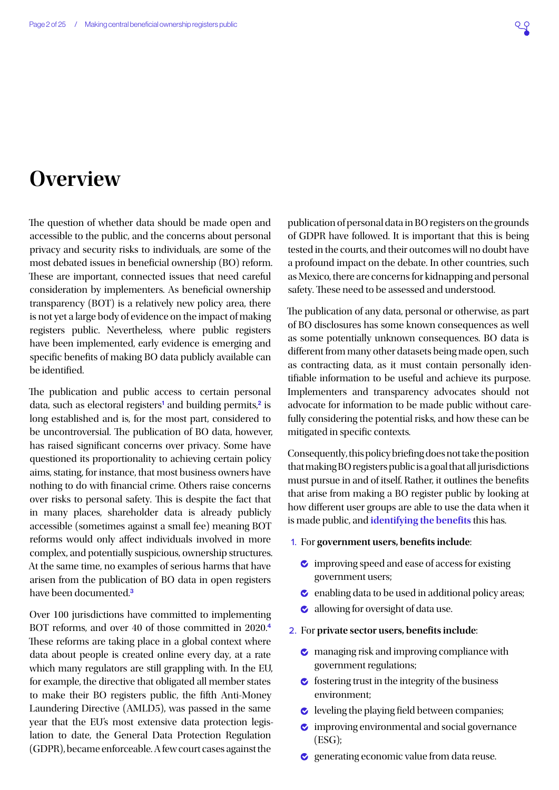# <span id="page-1-0"></span>**Overview**

The question of whether data should be made open and accessible to the public, and the concerns about personal privacy and security risks to individuals, are some of the most debated issues in beneficial ownership (BO) reform. These are important, connected issues that need careful consideration by implementers. As beneficial ownership transparency (BOT) is a relatively new policy area, there is not yet a large body of evidence on the impact of making registers public. Nevertheless, where public registers have been implemented, early evidence is emerging and specific benefits of making BO data publicly available can be identified.

The publication and public access to certain personal data, such as electoral registers<sup>[1](#page-20-0)</sup> and building permits,<sup>[2](#page-20-0)</sup> is long established and is, for the most part, considered to be uncontroversial. The publication of BO data, however, has raised significant concerns over privacy. Some have questioned its proportionality to achieving certain policy aims, stating, for instance, that most business owners have nothing to do with financial crime. Others raise concerns over risks to personal safety. This is despite the fact that in many places, shareholder data is already publicly accessible (sometimes against a small fee) meaning BOT reforms would only affect individuals involved in more complex, and potentially suspicious, ownership structures. At the same time, no examples of serious harms that have arisen from the publication of BO data in open registers have been documented.<sup>[3](#page-20-0)</sup>

Over 100 jurisdictions have committed to implementing BOT reforms, and over 40 of those committed in 2020.[4](#page-20-0) These reforms are taking place in a global context where data about people is created online every day, at a rate which many regulators are still grappling with. In the EU, for example, the directive that obligated all member states to make their BO registers public, the fifth Anti-Money Laundering Directive (AMLD5), was passed in the same year that the EU's most extensive data protection legislation to date, the General Data Protection Regulation (GDPR), became enforceable. A few court cases against the

publication of personal data in BO registers on the grounds of GDPR have followed. It is important that this is being tested in the courts, and their outcomes will no doubt have a profound impact on the debate. In other countries, such as Mexico, there are concerns for kidnapping and personal safety. These need to be assessed and understood.

The publication of any data, personal or otherwise, as part of BO disclosures has some known consequences as well as some potentially unknown consequences. BO data is different from many other datasets being made open, such as contracting data, as it must contain personally identifiable information to be useful and achieve its purpose. Implementers and transparency advocates should not advocate for information to be made public without carefully considering the potential risks, and how these can be mitigated in specific contexts.

Consequently, this policy briefing does not take the position that making BO registers public is a goal that all jurisdictions must pursue in and of itself. Rather, it outlines the benefits that arise from making a BO register public by looking at how different user groups are able to use the data when it is made public, and **identifying the benefits** this has.

- 1. For **government users, benefits include**:
	- $\bullet$  improving speed and ease of access for existing government users;
	- $\bullet$  enabling data to be used in additional policy areas;
	- **allowing for oversight of data use.**
- 2. For **private sector users, benefits include**:
	- $\bullet$  managing risk and improving compliance with government regulations;
	- $\bullet$  fostering trust in the integrity of the business environment;
	- $\bullet$  leveling the playing field between companies;
	- **v** improving environmental and social governance (ESG);
	- $\bullet$  generating economic value from data reuse.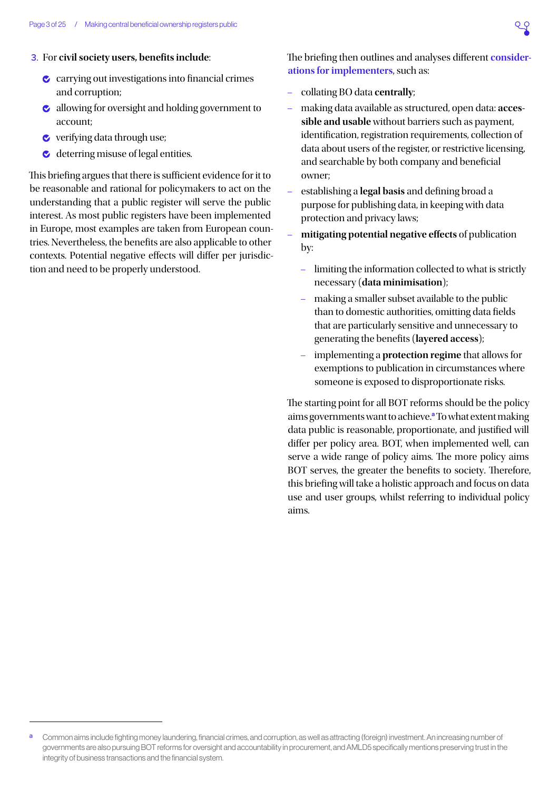#### 3. For **civil society users, benefits include**:

- $\bullet$  carrying out investigations into financial crimes and corruption;
- $\bullet$  allowing for oversight and holding government to account;
- **v** verifying data through use;
- $\bullet$  deterring misuse of legal entities.

This briefing argues that there is sufficient evidence for it to be reasonable and rational for policymakers to act on the understanding that a public register will serve the public interest. As most public registers have been implemented in Europe, most examples are taken from European countries. Nevertheless, the benefits are also applicable to other contexts. Potential negative effects will differ per jurisdiction and need to be properly understood.

The briefing then outlines and analyses different **considerations for implementers**, such as:

- collating BO data **centrally**;
- making data available as structured, open data: **accessible and usable** without barriers such as payment, identification, registration requirements, collection of data about users of the register, or restrictive licensing, and searchable by both company and beneficial owner;
- establishing a **legal basis** and defining broad a purpose for publishing data, in keeping with data protection and privacy laws;
- **mitigating potential negative effects** of publication by:
	- limiting the information collected to what is strictly necessary (**data minimisation**);
	- making a smaller subset available to the public than to domestic authorities, omitting data fields that are particularly sensitive and unnecessary to generating the benefits (**layered access**);
	- implementing a **protection regime** that allows for exemptions to publication in circumstances where someone is exposed to disproportionate risks.

The starting point for all BOT reforms should be the policy aims governments want to achieve.<sup>a</sup> To what extent making data public is reasonable, proportionate, and justified will differ per policy area. BOT, when implemented well, can serve a wide range of policy aims. The more policy aims BOT serves, the greater the benefits to society. Therefore, this briefing will take a holistic approach and focus on data use and user groups, whilst referring to individual policy aims.

a Common aims include fighting money laundering, financial crimes, and corruption, as well as attracting (foreign) investment. An increasing number of governments are also pursuing BOT reforms for oversight and accountability in procurement, and AMLD5 specifically mentions preserving trust in the integrity of business transactions and the financial system.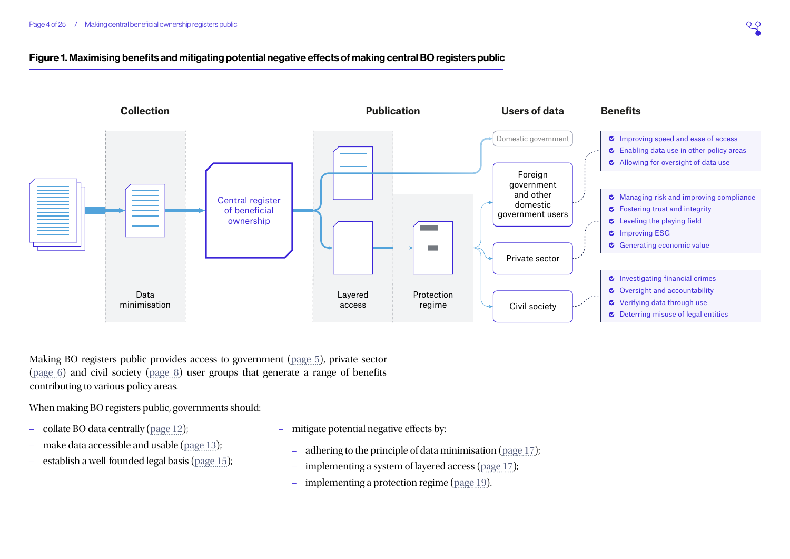# Figure 1. Maximising benefits and mitigating potential negative effects of making central BO registers public



Making BO registers public provides access to government [\(page](#page-4-1)  5), private sector [\(page](#page-5-1)  6) and civil society [\(page](#page-7-1)  8) user groups that generate a range of benefits contributing to various policy areas.

When making BO registers public, governments should:

- collate BO data centrally [\(page 12\)](#page-11-1);
- make data accessible and usable [\(page 13\)](#page-12-1);
- establish a well-founded legal basis [\(page 15\)](#page-14-0);
- mitigate potential negative effects by:
	- adhering to the principle of data minimisation [\(page 17\)](#page-16-1);
	- implementing a system of layered access [\(page 17\)](#page-16-2);
	- implementing a protection regime ([page 19](#page-18-0)).

 $QQ$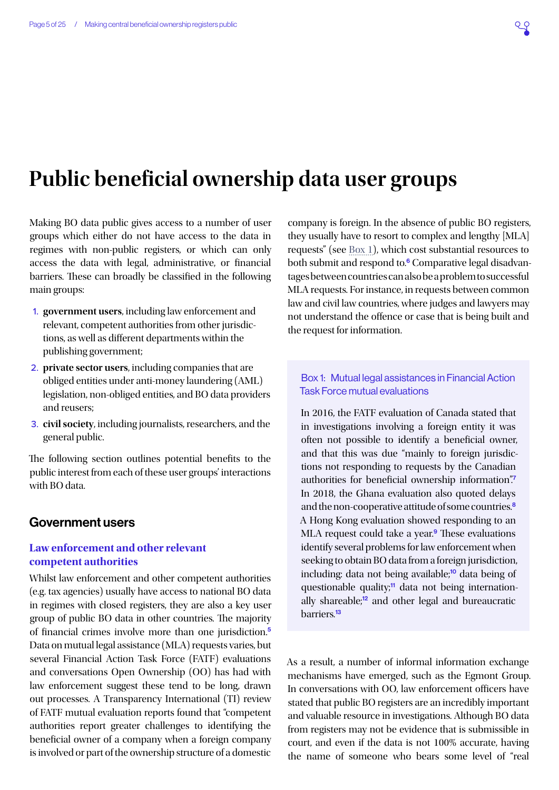# <span id="page-4-0"></span>**Public beneficial ownership data user groups**

Making BO data public gives access to a number of user groups which either do not have access to the data in regimes with non-public registers, or which can only access the data with legal, administrative, or financial barriers. These can broadly be classified in the following main groups:

- <span id="page-4-1"></span>1. **government users**, including law enforcement and relevant, competent authorities from other jurisdictions, as well as different departments within the publishing government;
- 2. **private sector users**, including companies that are obliged entities under anti-money laundering (AML) legislation, non-obliged entities, and BO data providers and reusers;
- 3. **civil society**, including journalists, researchers, and the general public.

The following section outlines potential benefits to the public interest from each of these user groups' interactions with BO data.

# Government users

# **Law enforcement and other relevant competent authorities**

Whilst law enforcement and other competent authorities (e.g. tax agencies) usually have access to national BO data in regimes with closed registers, they are also a key user group of public BO data in other countries. The majority of financial crimes involve more than one jurisdiction.[5](#page-20-0) Data on mutual legal assistance (MLA) requests varies, but several Financial Action Task Force (FATF) evaluations and conversations Open Ownership (OO) has had with law enforcement suggest these tend to be long, drawn out processes. A Transparency International (TI) review of FATF mutual evaluation reports found that "competent authorities report greater challenges to identifying the beneficial owner of a company when a foreign company is involved or part of the ownership structure of a domestic

company is foreign. In the absence of public BO registers, they usually have to resort to complex and lengthy [MLA] requests" (see [Box 1](#page-4-2)), which cost substantial resources to both submit and respond to.<sup>[6](#page-20-0)</sup> Comparative legal disadvantages between countries can also be a problem to successful MLA requests. For instance, in requests between common law and civil law countries, where judges and lawyers may not understand the offence or case that is being built and the request for information.

# <span id="page-4-2"></span>Box 1: Mutual legal assistances in Financial Action Task Force mutual evaluations

In 2016, the FATF evaluation of Canada stated that in investigations involving a foreign entity it was often not possible to identify a beneficial owner, and that this was due "mainly to foreign jurisdictions not responding to requests by the Canadian authorities for beneficial ownership information".<sup>[7](#page-20-0)</sup> In 2018, the Ghana evaluation also quoted delays and the non-cooperative attitude of some countries.<sup>[8](#page-20-0)</sup> A Hong Kong evaluation showed responding to an MLA request could take a year.<sup>[9](#page-20-0)</sup> These evaluations identify several problems for law enforcement when seeking to obtain BO data from a foreign jurisdiction, including: data not being available;<sup>[10](#page-20-0)</sup> data being of questionable quality; $\frac{1}{11}$  $\frac{1}{11}$  $\frac{1}{11}$  data not being internationally shareable;[12](#page-20-0) and other legal and bureaucratic barriers<sup>[13](#page-20-0)</sup>

As a result, a number of informal information exchange mechanisms have emerged, such as the Egmont Group. In conversations with OO, law enforcement officers have stated that public BO registers are an incredibly important and valuable resource in investigations. Although BO data from registers may not be evidence that is submissible in court, and even if the data is not 100% accurate, having the name of someone who bears some level of "real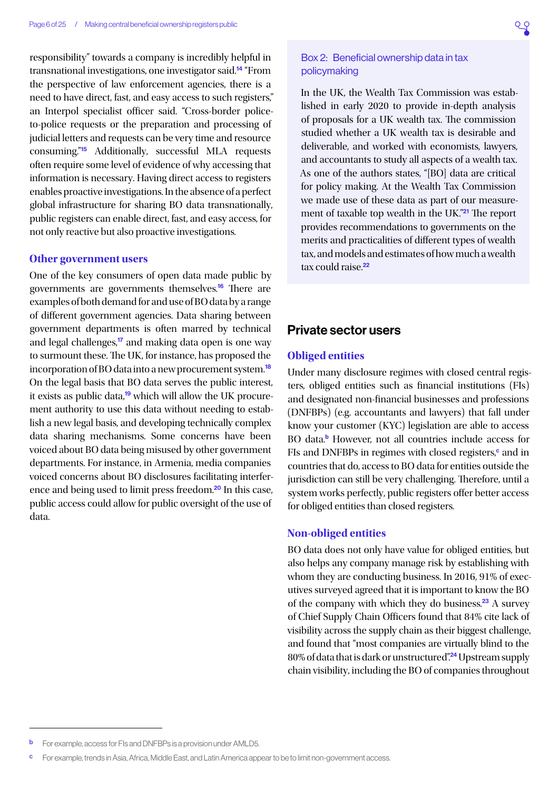<span id="page-5-0"></span>responsibility" towards a company is incredibly helpful in transnational investigations, one investigator said.[14](#page-20-0) "From the perspective of law enforcement agencies, there is a need to have direct, fast, and easy access to such registers," an Interpol specialist officer said. "Cross-border policeto-police requests or the preparation and processing of judicial letters and requests can be very time and resource consuming."[15](#page-20-0) Additionally, successful MLA requests often require some level of evidence of why accessing that information is necessary. Having direct access to registers enables proactive investigations. In the absence of a perfect global infrastructure for sharing BO data transnationally, public registers can enable direct, fast, and easy access, for not only reactive but also proactive investigations.

#### **Other government users**

One of the key consumers of open data made public by governments are governments themselves.[16](#page-20-0) There are examples of both demand for and use of BO data by a range of different government agencies. Data sharing between government departments is often marred by technical and legal challenges,<sup>[17](#page-20-0)</sup> and making data open is one way to surmount these. The UK, for instance, has proposed the incorporation of BO data into a new procurement system.<sup>[18](#page-20-0)</sup> On the legal basis that BO data serves the public interest, it exists as public data,<sup>[19](#page-20-0)</sup> which will allow the UK procurement authority to use this data without needing to establish a new legal basis, and developing technically complex data sharing mechanisms. Some concerns have been voiced about BO data being misused by other government departments. For instance, in Armenia, media companies voiced concerns about BO disclosures facilitating interference and being used to limit press freedom.[20](#page-20-0) In this case, public access could allow for public oversight of the use of data.

# Box 2: Beneficial ownership data in tax policymaking

<span id="page-5-1"></span>In the UK, the Wealth Tax Commission was established in early 2020 to provide in-depth analysis of proposals for a UK wealth tax. The commission studied whether a UK wealth tax is desirable and deliverable, and worked with economists, lawyers, and accountants to study all aspects of a wealth tax. As one of the authors states, "[BO] data are critical for policy making. At the Wealth Tax Commission we made use of these data as part of our measurement of taxable top wealth in the UK."[21](#page-20-0) The report provides recommendations to governments on the merits and practicalities of different types of wealth tax, and models and estimates of how much a wealth tax could raise<sup>[22](#page-20-0)</sup>

# Private sector users

### **Obliged entities**

Under many disclosure regimes with closed central registers, obliged entities such as financial institutions (FIs) and designated non-financial businesses and professions (DNFBPs) (e.g. accountants and lawyers) that fall under know your customer (KYC) legislation are able to access BO data.<sup>b</sup> However, not all countries include access for FIs and DNFBPs in regimes with closed registers,<sup>c</sup> and in countries that do, access to BO data for entities outside the jurisdiction can still be very challenging. Therefore, until a system works perfectly, public registers offer better access for obliged entities than closed registers.

#### **Non-obliged entities**

BO data does not only have value for obliged entities, but also helps any company manage risk by establishing with whom they are conducting business. In 2016, 91% of executives surveyed agreed that it is important to know the BO of the company with which they do business.[23](#page-20-0) A survey of Chief Supply Chain Officers found that 84% cite lack of visibility across the supply chain as their biggest challenge, and found that "most companies are virtually blind to the 80% of data that is dark or unstructured".[24](#page-20-0) Upstream supply chain visibility, including the BO of companies throughout

**b** For example, access for FIs and DNFBPs is a provision under AMLD5.

For example, trends in Asia, Africa, Middle East, and Latin America appear to be to limit non-government access.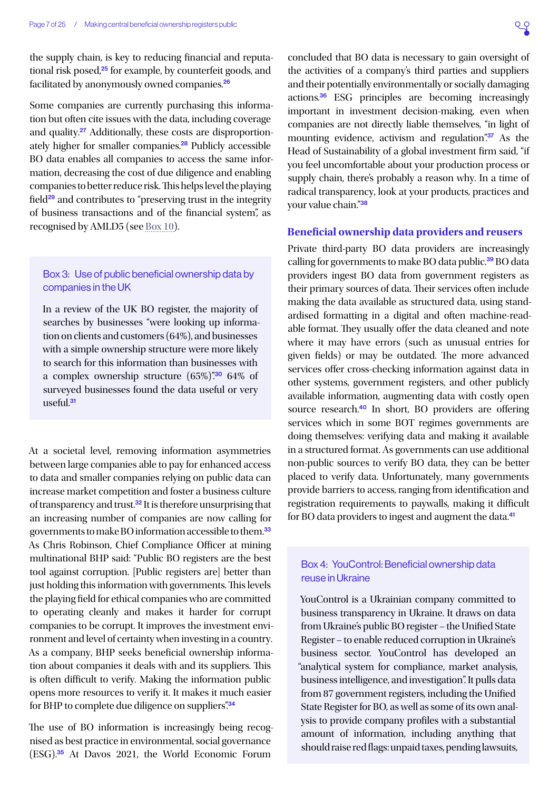<span id="page-6-0"></span>Some companies are currently purchasing this information but often cite issues with the data, including coverage and quality.<sup>[27](#page-20-0)</sup> Additionally, these costs are disproportion-ately higher for smaller companies.<sup>[28](#page-20-0)</sup> Publicly accessible BO data enables all companies to access the same information, decreasing the cost of due diligence and enabling companies to better reduce risk. This helps level the playing field<sup>[29](#page-20-0)</sup> and contributes to "preserving trust in the integrity of business transactions and of the financial system", as recognised by AMLD5 (see [Box 10](#page-14-1)).

# Box 3: Use of public beneficial ownership data by companies in the UK

In a review of the UK BO register, the majority of searches by businesses "were looking up information on clients and customers (64%), and businesses with a simple ownership structure were more likely to search for this information than businesses with a complex ownership structure  $(65\%)$ "<sup>[30](#page-20-0)</sup> 64% of surveyed businesses found the data useful or very useful.<sup>[31](#page-20-0)</sup>

At a societal level, removing information asymmetries between large companies able to pay for enhanced access to data and smaller companies relying on public data can increase market competition and foster a business culture of transparency and trust.[32](#page-20-0) It is therefore unsurprising that an increasing number of companies are now calling for governments to make BO information accessible to them.[33](#page-20-0) As Chris Robinson, Chief Compliance Officer at mining multinational BHP said: "Public BO registers are the best tool against corruption. [Public registers are] better than just holding this information with governments. This levels the playing field for ethical companies who are committed to operating cleanly and makes it harder for corrupt companies to be corrupt. It improves the investment environment and level of certainty when investing in a country. As a company, BHP seeks beneficial ownership information about companies it deals with and its suppliers. This is often difficult to verify. Making the information public opens more resources to verify it. It makes it much easier for BHP to complete due diligence on suppliers".<sup>[34](#page-20-0)</sup>

The use of BO information is increasingly being recognised as best practice in environmental, social governance (ESG).[35](#page-20-0) At Davos 2021, the World Economic Forum

concluded that BO data is necessary to gain oversight of the activities of a company's third parties and suppliers and their potentially environmentally or socially damaging actions.[36](#page-21-0) ESG principles are becoming increasingly important in investment decision-making, even when companies are not directly liable themselves, "in light of mounting evidence, activism and regulation".<sup>[37](#page-21-0)</sup> As the Head of Sustainability of a global investment firm said, "if you feel uncomfortable about your production process or supply chain, there's probably a reason why. In a time of radical transparency, look at your products, practices and your value chain."[38](#page-21-0)

#### **Beneficial ownership data providers and reusers**

Private third-party BO data providers are increasingly calling for governments to make BO data public.<sup>[39](#page-21-0)</sup> BO data providers ingest BO data from government registers as their primary sources of data. Their services often include making the data available as structured data, using standardised formatting in a digital and often machine-readable format. They usually offer the data cleaned and note where it may have errors (such as unusual entries for given fields) or may be outdated. The more advanced services offer cross-checking information against data in other systems, government registers, and other publicly available information, augmenting data with costly open source research.<sup>[40](#page-21-0)</sup> In short, BO providers are offering services which in some BOT regimes governments are doing themselves: verifying data and making it available in a structured format. As governments can use additional non-public sources to verify BO data, they can be better placed to verify data. Unfortunately, many governments provide barriers to access, ranging from identification and registration requirements to paywalls, making it difficult for BO data providers to ingest and augment the data.<sup>[41](#page-21-0)</sup>

# Box 4: YouControl: Beneficial ownership data reuse in Ukraine

YouControl is a Ukrainian company committed to business transparency in Ukraine. It draws on data from Ukraine's public BO register – the Unified State Register – to enable reduced corruption in Ukraine's business sector. YouControl has developed an "analytical system for compliance, market analysis, business intelligence, and investigation". It pulls data from 87 government registers, including the Unified State Register for BO, as well as some of its own analysis to provide company profiles with a substantial amount of information, including anything that should raise red flags: unpaid taxes, pending lawsuits,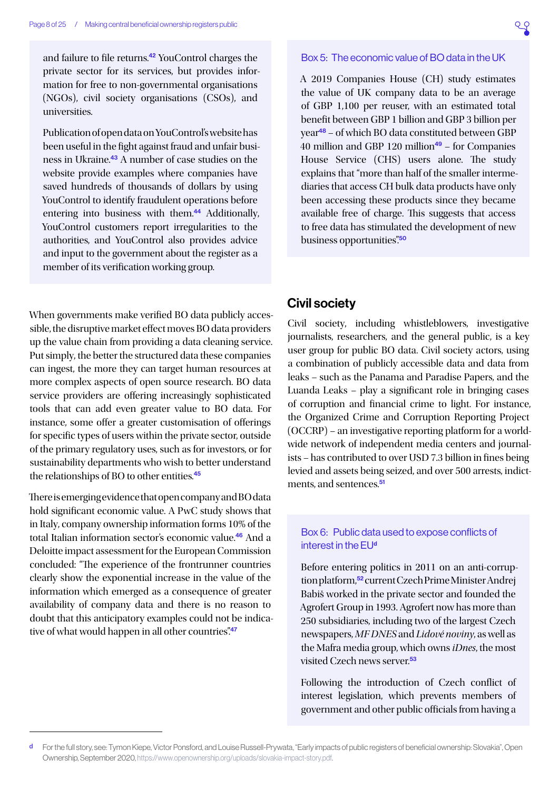<span id="page-7-0"></span>and failure to file returns.<sup>[42](#page-21-0)</sup> YouControl charges the private sector for its services, but provides information for free to non-governmental organisations (NGOs), civil society organisations (CSOs), and universities.

Publication of open data on YouControl's website has been useful in the fight against fraud and unfair busi-ness in Ukraine.<sup>[43](#page-21-0)</sup> A number of case studies on the website provide examples where companies have saved hundreds of thousands of dollars by using YouControl to identify fraudulent operations before entering into business with them.<sup>[44](#page-21-0)</sup> Additionally, YouControl customers report irregularities to the authorities, and YouControl also provides advice and input to the government about the register as a member of its verification working group.

When governments make verified BO data publicly accessible, the disruptive market effect moves BO data providers up the value chain from providing a data cleaning service. Put simply, the better the structured data these companies can ingest, the more they can target human resources at more complex aspects of open source research. BO data service providers are offering increasingly sophisticated tools that can add even greater value to BO data. For instance, some offer a greater customisation of offerings for specific types of users within the private sector, outside of the primary regulatory uses, such as for investors, or for sustainability departments who wish to better understand the relationships of BO to other entities.<sup>[45](#page-21-0)</sup>

There is emerging evidence that open company and BO data hold significant economic value. A PwC study shows that in Italy, company ownership information forms 10% of the total Italian information sector's economic value.[46](#page-21-0) And a Deloitte impact assessment for the European Commission concluded: "The experience of the frontrunner countries clearly show the exponential increase in the value of the information which emerged as a consequence of greater availability of company data and there is no reason to doubt that this anticipatory examples could not be indica-tive of what would happen in all other countries".<sup>[47](#page-21-0)</sup>

# Box 5: The economic value of BO data in the UK

<span id="page-7-1"></span>A 2019 Companies House (CH) study estimates the value of UK company data to be an average of GBP 1,100 per reuser, with an estimated total benefit between GBP 1 billion and GBP 3 billion per year[48](#page-21-0) – of which BO data constituted between GBP 40 million and GBP 120 million $49$  – for Companies House Service (CHS) users alone. The study explains that "more than half of the smaller intermediaries that access CH bulk data products have only been accessing these products since they became available free of charge. This suggests that access to free data has stimulated the development of new business opportunities".<sup>[50](#page-21-0)</sup>

# Civil society

Civil society, including whistleblowers, investigative journalists, researchers, and the general public, is a key user group for public BO data. Civil society actors, using a combination of publicly accessible data and data from leaks – such as the Panama and Paradise Papers, and the Luanda Leaks – play a significant role in bringing cases of corruption and financial crime to light. For instance, the Organized Crime and Corruption Reporting Project (OCCRP) – an investigative reporting platform for a worldwide network of independent media centers and journalists – has contributed to over USD 7.3 billion in fines being levied and assets being seized, and over 500 arrests, indict-ments, and sentences.<sup>[51](#page-21-0)</sup>

# Box 6: Public data used to expose conflicts of interest in the EU<sup>d</sup>

Before entering politics in 2011 on an anti-corruption platform,[52](#page-21-0) current Czech Prime Minister Andrej Babiš worked in the private sector and founded the Agrofert Group in 1993. Agrofert now has more than 250 subsidiaries, including two of the largest Czech newspapers, *MF DNES* and *Lidové noviny*, as well as the Mafra media group, which owns *iDnes*, the most visited Czech news server<sup>[53](#page-21-0)</sup>

Following the introduction of Czech conflict of interest legislation, which prevents members of government and other public officials from having a

d For the full story, see: Tymon Kiepe, Victor Ponsford, and Louise Russell-Prywata, "Early impacts of public registers of beneficial ownership: Slovakia", Open Ownership, September 2020, [https://www.openownership.org/uploads/slovakia-impact-story.pdf.](https://www.openownership.org/uploads/slovakia-impact-story.pdf)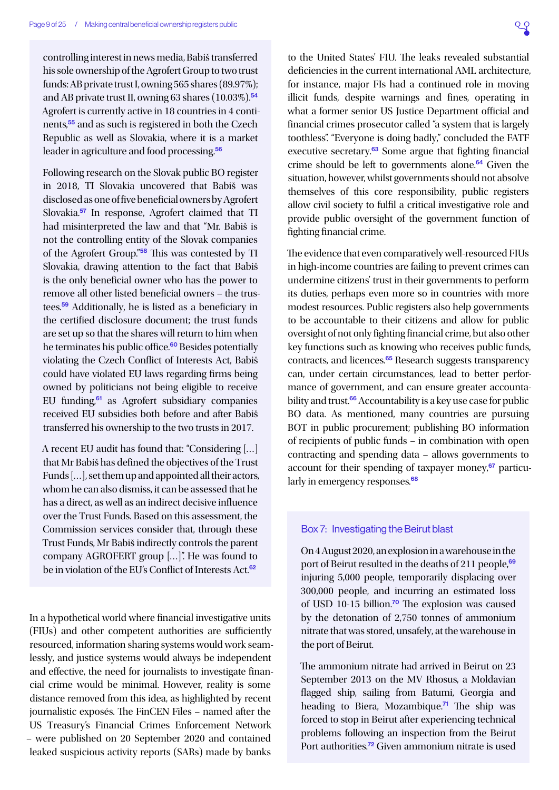<span id="page-8-0"></span>controlling interest in news media, Babiš transferred his sole ownership of the Agrofert Group to two trust funds: AB private trust I, owning 565 shares (89.97%); and AB private trust II, owning 63 shares  $(10.03\%)$ .<sup>[54](#page-21-0)</sup> Agrofert is currently active in 18 countries in 4 continents,[55](#page-21-0) and as such is registered in both the Czech Republic as well as Slovakia, where it is a market leader in agriculture and food processing.<sup>[56](#page-21-0)</sup>

Following research on the Slovak public BO register in 2018, TI Slovakia uncovered that Babiš was disclosed as one of five beneficial owners by Agrofert Slovakia.[57](#page-21-0) In response, Agrofert claimed that TI had misinterpreted the law and that "Mr. Babiš is not the controlling entity of the Slovak companies of the Agrofert Group."[58](#page-21-0) This was contested by TI Slovakia, drawing attention to the fact that Babiš is the only beneficial owner who has the power to remove all other listed beneficial owners – the trustees.[59](#page-21-0) Additionally, he is listed as a beneficiary in the certified disclosure document; the trust funds are set up so that the shares will return to him when he terminates his public office.<sup>[60](#page-21-0)</sup> Besides potentially violating the Czech Conflict of Interests Act, Babiš could have violated EU laws regarding firms being owned by politicians not being eligible to receive EU funding, $61$  as Agrofert subsidiary companies received EU subsidies both before and after Babiš transferred his ownership to the two trusts in 2017.

A recent EU audit has found that: "Considering […] that Mr Babiš has defined the objectives of the Trust Funds […], set them up and appointed all their actors, whom he can also dismiss, it can be assessed that he has a direct, as well as an indirect decisive influence over the Trust Funds. Based on this assessment, the Commission services consider that, through these Trust Funds, Mr Babiš indirectly controls the parent company AGROFERT group […]". He was found to be in violation of the EU's Conflict of Interests Act.<sup>[62](#page-21-0)</sup>

In a hypothetical world where financial investigative units (FIUs) and other competent authorities are sufficiently resourced, information sharing systems would work seamlessly, and justice systems would always be independent and effective, the need for journalists to investigate financial crime would be minimal. However, reality is some distance removed from this idea, as highlighted by recent journalistic exposés. The FinCEN Files – named after the US Treasury's Financial Crimes Enforcement Network – were published on 20 September 2020 and contained leaked suspicious activity reports (SARs) made by banks

to the United States' FIU. The leaks revealed substantial deficiencies in the current international AML architecture, for instance, major FIs had a continued role in moving illicit funds, despite warnings and fines, operating in what a former senior US Justice Department official and financial crimes prosecutor called "a system that is largely toothless". "Everyone is doing badly," concluded the FATF executive secretary.[63](#page-21-0) Some argue that fighting financial crime should be left to governments alone.<sup>[64](#page-21-0)</sup> Given the situation, however, whilst governments should not absolve themselves of this core responsibility, public registers allow civil society to fulfil a critical investigative role and provide public oversight of the government function of fighting financial crime.

The evidence that even comparatively well-resourced FIUs in high-income countries are failing to prevent crimes can undermine citizens' trust in their governments to perform its duties, perhaps even more so in countries with more modest resources. Public registers also help governments to be accountable to their citizens and allow for public oversight of not only fighting financial crime, but also other key functions such as knowing who receives public funds, contracts, and licences.[65](#page-21-0) Research suggests transparency can, under certain circumstances, lead to better performance of government, and can ensure greater accounta-bility and trust.<sup>[66](#page-21-0)</sup> Accountability is a key use case for public BO data. As mentioned, many countries are pursuing BOT in public procurement; publishing BO information of recipients of public funds – in combination with open contracting and spending data – allows governments to account for their spending of taxpayer money, $67$  particu-larly in emergency responses.<sup>[68](#page-22-0)</sup>

#### Box 7: Investigating the Beirut blast

On 4 August 2020, an explosion in a warehouse in the port of Beirut resulted in the deaths of 211 people,<sup>[69](#page-22-0)</sup> injuring 5,000 people, temporarily displacing over 300,000 people, and incurring an estimated loss of USD 10-15 billion.[70](#page-22-0) The explosion was caused by the detonation of 2,750 tonnes of ammonium nitrate that was stored, unsafely, at the warehouse in the port of Beirut.

The ammonium nitrate had arrived in Beirut on 23 September 2013 on the MV Rhosus, a Moldavian flagged ship, sailing from Batumi, Georgia and heading to Biera, Mozambique.<sup>[71](#page-22-0)</sup> The ship was forced to stop in Beirut after experiencing technical problems following an inspection from the Beirut Port authorities.[72](#page-22-0) Given ammonium nitrate is used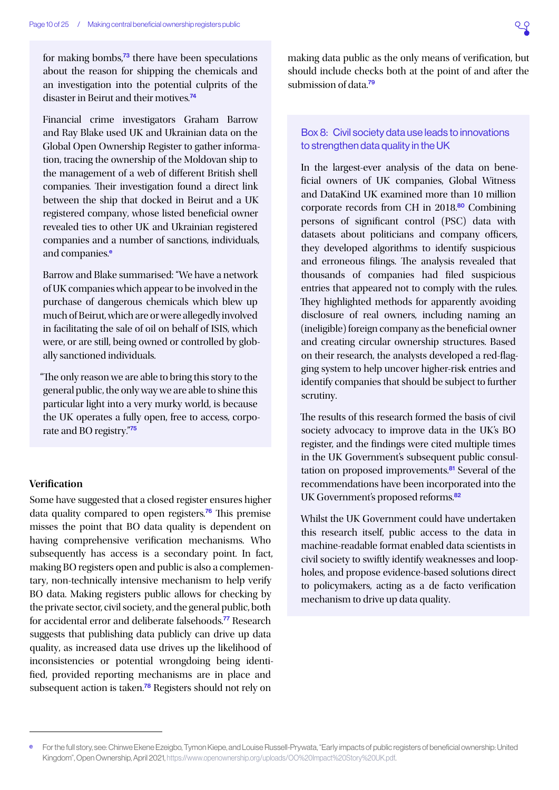<span id="page-9-0"></span>for making bombs, $73$  there have been speculations about the reason for shipping the chemicals and an investigation into the potential culprits of the disaster in Beirut and their motives.<sup>[74](#page-22-0)</sup>

Financial crime investigators Graham Barrow and Ray Blake used UK and Ukrainian data on the Global Open Ownership Register to gather information, tracing the ownership of the Moldovan ship to the management of a web of different British shell companies. Their investigation found a direct link between the ship that docked in Beirut and a UK registered company, whose listed beneficial owner revealed ties to other UK and Ukrainian registered companies and a number of sanctions, individuals, and companies.<sup>e</sup>

Barrow and Blake summarised: "We have a network of UK companies which appear to be involved in the purchase of dangerous chemicals which blew up much of Beirut, which are or were allegedly involved in facilitating the sale of oil on behalf of ISIS, which were, or are still, being owned or controlled by globally sanctioned individuals.

"The only reason we are able to bring this story to the general public, the only way we are able to shine this particular light into a very murky world, is because the UK operates a fully open, free to access, corporate and BO registry."[75](#page-22-0)

#### **Verification**

Some have suggested that a closed register ensures higher data quality compared to open registers.<sup>[76](#page-22-0)</sup> This premise misses the point that BO data quality is dependent on having comprehensive verification mechanisms. Who subsequently has access is a secondary point. In fact, making BO registers open and public is also a complementary, non-technically intensive mechanism to help verify BO data. Making registers public allows for checking by the private sector, civil society, and the general public, both for accidental error and deliberate falsehoods.<sup>[77](#page-22-0)</sup> Research suggests that publishing data publicly can drive up data quality, as increased data use drives up the likelihood of inconsistencies or potential wrongdoing being identified, provided reporting mechanisms are in place and subsequent action is taken.<sup>[78](#page-22-0)</sup> Registers should not rely on

making data public as the only means of verification, but should include checks both at the point of and after the submission of data.<sup>[79](#page-22-0)</sup>

# Box 8: Civil society data use leads to innovations to strengthen data quality in the UK

In the largest-ever analysis of the data on beneficial owners of UK companies, Global Witness and DataKind UK examined more than 10 million corporate records from CH in 2018.<sup>[80](#page-22-0)</sup> Combining persons of significant control (PSC) data with datasets about politicians and company officers, they developed algorithms to identify suspicious and erroneous filings. The analysis revealed that thousands of companies had filed suspicious entries that appeared not to comply with the rules. They highlighted methods for apparently avoiding disclosure of real owners, including naming an (ineligible) foreign company as the beneficial owner and creating circular ownership structures. Based on their research, the analysts developed a red-flagging system to help uncover higher-risk entries and identify companies that should be subject to further scrutiny.

The results of this research formed the basis of civil society advocacy to improve data in the UK's BO register, and the findings were cited multiple times in the UK Government's subsequent public consul-tation on proposed improvements.<sup>[81](#page-22-0)</sup> Several of the recommendations have been incorporated into the UK Government's proposed reforms.<sup>[82](#page-22-0)</sup>

Whilst the UK Government could have undertaken this research itself, public access to the data in machine-readable format enabled data scientists in civil society to swiftly identify weaknesses and loopholes, and propose evidence-based solutions direct to policymakers, acting as a de facto verification mechanism to drive up data quality.

e For the full story, see: Chinwe Ekene Ezeigbo, Tymon Kiepe, and Louise Russell-Prywata, "Early impacts of public registers of beneficial ownership: United Kingdom", Open Ownership, April 2021, <https://www.openownership.org/uploads/OO%20Impact%20Story%20UK.pdf>.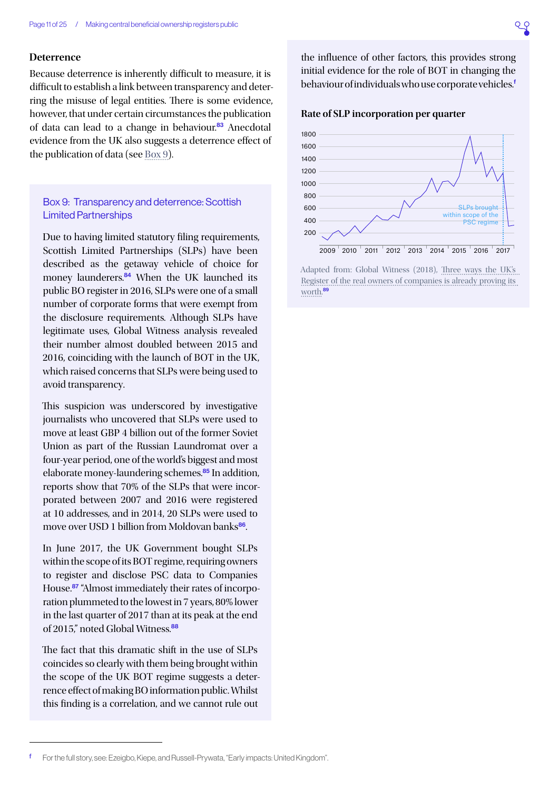#### <span id="page-10-1"></span>**Deterrence**

Because deterrence is inherently difficult to measure, it is difficult to establish a link between transparency and deterring the misuse of legal entities. There is some evidence, however, that under certain circumstances the publication of data can lead to a change in behaviour.<sup>[83](#page-22-0)</sup> Anecdotal evidence from the UK also suggests a deterrence effect of the publication of data (see [Box 9\)](#page-10-0).

# <span id="page-10-0"></span>Box 9: Transparency and deterrence: Scottish Limited Partnerships

Due to having limited statutory filing requirements, Scottish Limited Partnerships (SLPs) have been described as the getaway vehicle of choice for money launderers.<sup>[84](#page-22-0)</sup> When the UK launched its public BO register in 2016, SLPs were one of a small number of corporate forms that were exempt from the disclosure requirements. Although SLPs have legitimate uses, Global Witness analysis revealed their number almost doubled between 2015 and 2016, coinciding with the launch of BOT in the UK, which raised concerns that SLPs were being used to avoid transparency.

This suspicion was underscored by investigative journalists who uncovered that SLPs were used to move at least GBP 4 billion out of the former Soviet Union as part of the Russian Laundromat over a four-year period, one of the world's biggest and most elaborate money-laundering schemes.<sup>[85](#page-22-0)</sup> In addition, reports show that 70% of the SLPs that were incorporated between 2007 and 2016 were registered at 10 addresses, and in 2014, 20 SLPs were used to move over USD 1 billion from Moldovan banks<sup>[86](#page-22-0)</sup>.

In June 2017, the UK Government bought SLPs within the scope of its BOT regime, requiring owners to register and disclose PSC data to Companies House.<sup>[87](#page-22-0)</sup> "Almost immediately their rates of incorporation plummeted to the lowest in 7 years, 80% lower in the last quarter of 2017 than at its peak at the end of 2015," noted Global Witness.<sup>[88](#page-22-0)</sup>

The fact that this dramatic shift in the use of SLPs coincides so clearly with them being brought within the scope of the UK BOT regime suggests a deterrence effect of making BO information public. Whilst this finding is a correlation, and we cannot rule out

the influence of other factors, this provides strong initial evidence for the role of BOT in changing the behaviour of individuals who use corporate vehicles.<sup>f</sup>





Adapted from: Global Witness (2018), [Three ways the UK's](https://www.globalwitness.org/en/blog/three-ways-uks-register-real-owners-companies-already-proving-its-worth/)  [Register of the real owners of companies is already proving its](https://www.globalwitness.org/en/blog/three-ways-uks-register-real-owners-companies-already-proving-its-worth/)  [worth](https://www.globalwitness.org/en/blog/three-ways-uks-register-real-owners-companies-already-proving-its-worth/). [89](#page-22-0)

f For the full story, see: Ezeigbo, Kiepe, and Russell-Prywata, "Early impacts: United Kingdom".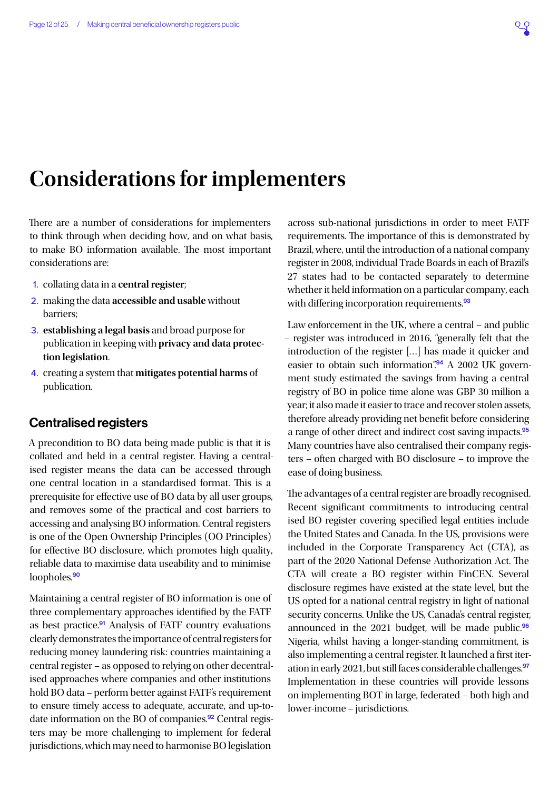# <span id="page-11-1"></span><span id="page-11-0"></span>**Considerations for implementers**

There are a number of considerations for implementers to think through when deciding how, and on what basis, to make BO information available. The most important considerations are:

- 1. collating data in a **central register**;
- 2. making the data **accessible and usable** without barriers;
- 3. **establishing a legal basis** and broad purpose for publication in keeping with **privacy and data protection legislation**.
- 4. creating a system that **mitigates potential harms** of publication.

# Centralised registers

A precondition to BO data being made public is that it is collated and held in a central register. Having a centralised register means the data can be accessed through one central location in a standardised format. This is a prerequisite for effective use of BO data by all user groups, and removes some of the practical and cost barriers to accessing and analysing BO information. Central registers is one of the Open Ownership Principles (OO Principles) for effective BO disclosure, which promotes high quality, reliable data to maximise data useability and to minimise loopholes.<sup>[90](#page-22-0)</sup>

Maintaining a central register of BO information is one of three complementary approaches identified by the FATF as best practice.<sup>[91](#page-22-0)</sup> Analysis of FATF country evaluations clearly demonstrates the importance of central registers for reducing money laundering risk: countries maintaining a central register – as opposed to relying on other decentralised approaches where companies and other institutions hold BO data – perform better against FATF's requirement to ensure timely access to adequate, accurate, and up-to-date information on the BO of companies.<sup>[92](#page-22-0)</sup> Central registers may be more challenging to implement for federal jurisdictions, which may need to harmonise BO legislation

across sub-national jurisdictions in order to meet FATF requirements. The importance of this is demonstrated by Brazil, where, until the introduction of a national company register in 2008, individual Trade Boards in each of Brazil's 27 states had to be contacted separately to determine whether it held information on a particular company, each with differing incorporation requirements.<sup>[93](#page-22-0)</sup>

Law enforcement in the UK, where a central – and public – register was introduced in 2016, "generally felt that the introduction of the register […] has made it quicker and easier to obtain such information".<sup>[94](#page-22-0)</sup> A 2002 UK government study estimated the savings from having a central registry of BO in police time alone was GBP 30 million a year; it also made it easier to trace and recover stolen assets, therefore already providing net benefit before considering a range of other direct and indirect cost saving impacts.[95](#page-22-0) Many countries have also centralised their company registers – often charged with BO disclosure – to improve the ease of doing business.

The advantages of a central register are broadly recognised. Recent significant commitments to introducing centralised BO register covering specified legal entities include the United States and Canada. In the US, provisions were included in the Corporate Transparency Act (CTA), as part of the 2020 National Defense Authorization Act. The CTA will create a BO register within FinCEN. Several disclosure regimes have existed at the state level, but the US opted for a national central registry in light of national security concerns. Unlike the US, Canada's central register, announced in the 2021 budget, will be made public. $96$ Nigeria, whilst having a longer-standing commitment, is also implementing a central register. It launched a first iteration in early 2021, but still faces considerable challenges.[97](#page-22-0) Implementation in these countries will provide lessons on implementing BOT in large, federated – both high and lower-income – jurisdictions.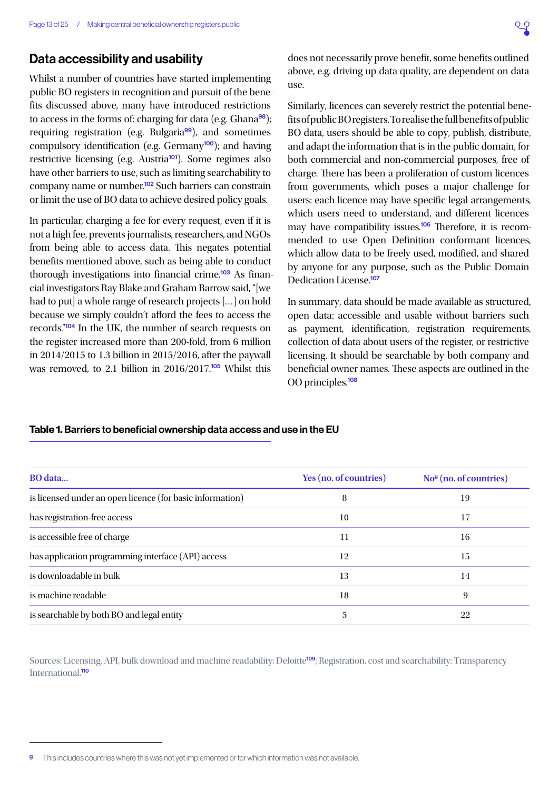# <span id="page-12-1"></span><span id="page-12-0"></span>Data accessibility and usability

Whilst a number of countries have started implementing public BO registers in recognition and pursuit of the benefits discussed above, many have introduced restrictions to access in the forms of: charging for data (e.g. Ghana $98$ ); requiring registration (e.g. Bulgaria<sup>[99](#page-22-0)</sup>), and sometimes compulsory identification (e.g. Germany<sup>[100](#page-22-0)</sup>); and having restrictive licensing (e.g. Austria<sup>[101](#page-22-0)</sup>). Some regimes also have other barriers to use, such as limiting searchability to company name or number.<sup>[102](#page-22-0)</sup> Such barriers can constrain or limit the use of BO data to achieve desired policy goals.

In particular, charging a fee for every request, even if it is not a high fee, prevents journalists, researchers, and NGOs from being able to access data. This negates potential benefits mentioned above, such as being able to conduct thorough investigations into financial crime.<sup>[103](#page-23-0)</sup> As financial investigators Ray Blake and Graham Barrow said, "[we had to put] a whole range of research projects [...] on hold because we simply couldn't afford the fees to access the records."[104](#page-23-0) In the UK, the number of search requests on the register increased more than 200-fold, from 6 million in 2014/2015 to 1.3 billion in 2015/2016, after the paywall was removed, to 2.1 billion in  $2016/2017$ <sup>[105](#page-23-0)</sup> Whilst this

does not necessarily prove benefit, some benefits outlined above, e.g. driving up data quality, are dependent on data use.

Similarly, licences can severely restrict the potential benefits of public BO registers. To realise the full benefits of public BO data, users should be able to copy, publish, distribute, and adapt the information that is in the public domain, for both commercial and non-commercial purposes, free of charge. There has been a proliferation of custom licences from governments, which poses a major challenge for users: each licence may have specific legal arrangements, which users need to understand, and different licences may have compatibility issues.[106](#page-23-0) Therefore, it is recommended to use Open Definition conformant licences, which allow data to be freely used, modified, and shared by anyone for any purpose, such as the Public Domain Dedication License.<sup>[107](#page-23-0)</sup>

In summary, data should be made available as structured, open data: accessible and usable without barriers such as payment, identification, registration requirements, collection of data about users of the register, or restrictive licensing. It should be searchable by both company and beneficial owner names. These aspects are outlined in the OO principles.[108](#page-23-0)

### Table 1. Barriers to beneficial ownership data access and use in the EU

| Yes (no. of countries) | $Nog$ (no. of countries) |
|------------------------|--------------------------|
| 8                      | 19                       |
| 10                     | 17                       |
| 11                     | 16                       |
| 12                     | 15                       |
| 13                     | 14                       |
| 18                     | 9                        |
| 5                      | 22                       |
|                        |                          |

Sources: Licensing, API, bulk download and machine readability: Deloitte<sup>[109](#page-23-0)</sup>; Registration, cost and searchability: Transparency International<sup>[110](#page-23-0)</sup>

This includes countries where this was not vet implemented or for which information was not available.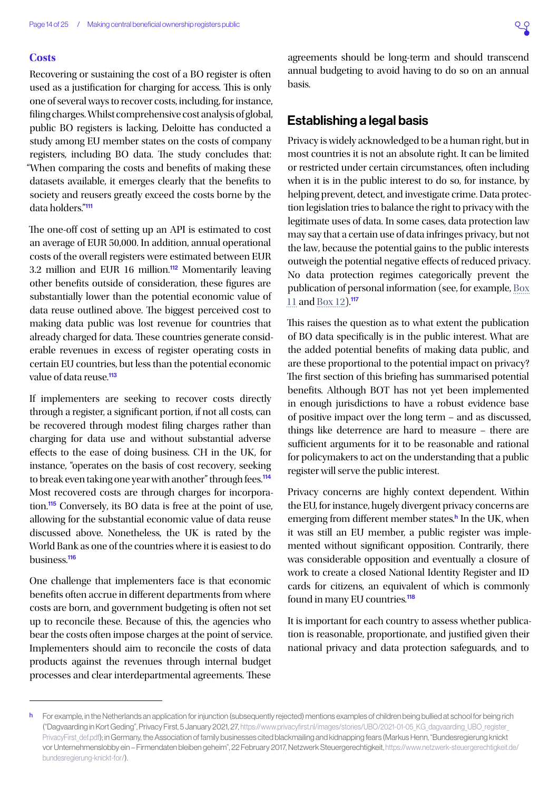#### <span id="page-13-0"></span>**Costs**

Recovering or sustaining the cost of a BO register is often used as a justification for charging for access. This is only one of several ways to recover costs, including, for instance, filing charges. Whilst comprehensive cost analysis of global, public BO registers is lacking, Deloitte has conducted a study among EU member states on the costs of company registers, including BO data. The study concludes that: "When comparing the costs and benefits of making these datasets available, it emerges clearly that the benefits to society and reusers greatly exceed the costs borne by the data holders."[111](#page-23-0)

The one-off cost of setting up an API is estimated to cost an average of EUR 50,000. In addition, annual operational costs of the overall registers were estimated between EUR 3.2 million and EUR 16 million.<sup>[112](#page-23-0)</sup> Momentarily leaving other benefits outside of consideration, these figures are substantially lower than the potential economic value of data reuse outlined above. The biggest perceived cost to making data public was lost revenue for countries that already charged for data. These countries generate considerable revenues in excess of register operating costs in certain EU countries, but less than the potential economic value of data reuse.<sup>[113](#page-23-0)</sup>

If implementers are seeking to recover costs directly through a register, a significant portion, if not all costs, can be recovered through modest filing charges rather than charging for data use and without substantial adverse effects to the ease of doing business. CH in the UK, for instance, "operates on the basis of cost recovery, seeking to break even taking one year with another" through fees.<sup>[114](#page-23-0)</sup> Most recovered costs are through charges for incorpora-tion.<sup>[115](#page-23-0)</sup> Conversely, its BO data is free at the point of use, allowing for the substantial economic value of data reuse discussed above. Nonetheless, the UK is rated by the World Bank as one of the countries where it is easiest to do business.[116](#page-23-0)

One challenge that implementers face is that economic benefits often accrue in different departments from where costs are born, and government budgeting is often not set up to reconcile these. Because of this, the agencies who bear the costs often impose charges at the point of service. Implementers should aim to reconcile the costs of data products against the revenues through internal budget processes and clear interdepartmental agreements. These

agreements should be long-term and should transcend annual budgeting to avoid having to do so on an annual basis.

# Establishing a legal basis

Privacy is widely acknowledged to be a human right, but in most countries it is not an absolute right. It can be limited or restricted under certain circumstances, often including when it is in the public interest to do so, for instance, by helping prevent, detect, and investigate crime. Data protection legislation tries to balance the right to privacy with the legitimate uses of data. In some cases, data protection law may say that a certain use of data infringes privacy, but not the law, because the potential gains to the public interests outweigh the potential negative effects of reduced privacy. No data protection regimes categorically prevent the publication of personal information (see, for example, [Box](#page-15-0)  [11](#page-15-0) and [Box 12\)](#page-16-3).<sup>[117](#page-23-0)</sup>

This raises the question as to what extent the publication of BO data specifically is in the public interest. What are the added potential benefits of making data public, and are these proportional to the potential impact on privacy? The first section of this briefing has summarised potential benefits. Although BOT has not yet been implemented in enough jurisdictions to have a robust evidence base of positive impact over the long term – and as discussed, things like deterrence are hard to measure – there are sufficient arguments for it to be reasonable and rational for policymakers to act on the understanding that a public register will serve the public interest.

Privacy concerns are highly context dependent. Within the EU, for instance, hugely divergent privacy concerns are emerging from different member states.<sup>h</sup> In the UK, when it was still an EU member, a public register was implemented without significant opposition. Contrarily, there was considerable opposition and eventually a closure of work to create a closed National Identity Register and ID cards for citizens, an equivalent of which is commonly found in many EU countries.<sup>[118](#page-23-0)</sup>

It is important for each country to assess whether publication is reasonable, proportionate, and justified given their national privacy and data protection safeguards, and to

h For example, in the Netherlands an application for injunction (subsequently rejected) mentions examples of children being bullied at school for being rich ("Dagvaarding in Kort Geding", Privacy First, 5 January 2021, 27, https://www.privacyfirst.nl/images/stories/UBO/2021-01-05 KG\_dagvaarding\_UBO\_register PrivacyFirst def.pdf); in Germany, the Association of family businesses cited blackmailing and kidnapping fears (Markus Henn, "Bundesregierung knickt vor Unternehmenslobby ein – Firmendaten bleiben geheim", 22 February 2017, Netzwerk Steuergerechtigkeit, [https://www.netzwerk-steuergerechtigkeit.de/](https://www.netzwerk-steuergerechtigkeit.de/bundesregierung-knickt-for/) [bundesregierung-knickt-for/\)](https://www.netzwerk-steuergerechtigkeit.de/bundesregierung-knickt-for/).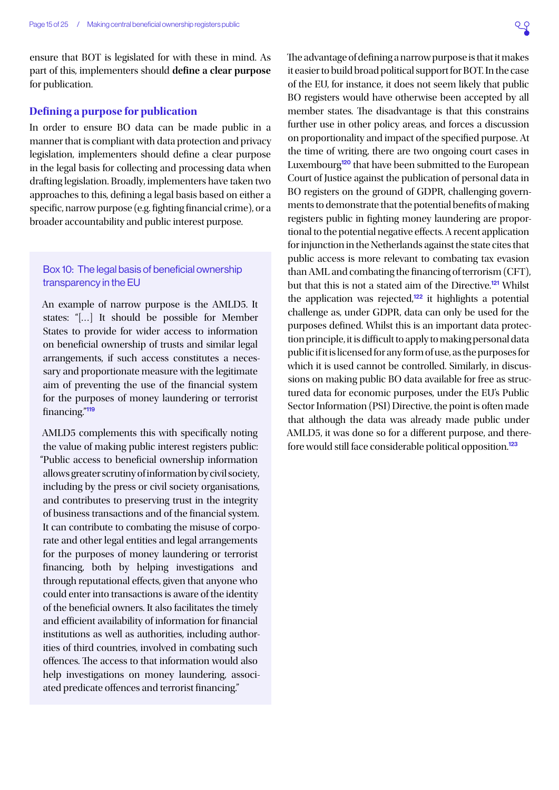<span id="page-14-2"></span><span id="page-14-0"></span>ensure that BOT is legislated for with these in mind. As part of this, implementers should **define a clear purpose**  for publication.

#### **Defining a purpose for publication**

In order to ensure BO data can be made public in a manner that is compliant with data protection and privacy legislation, implementers should define a clear purpose in the legal basis for collecting and processing data when drafting legislation. Broadly, implementers have taken two approaches to this, defining a legal basis based on either a specific, narrow purpose (e.g. fighting financial crime), or a broader accountability and public interest purpose.

# <span id="page-14-1"></span>Box 10: The legal basis of beneficial ownership transparency in the EU

An example of narrow purpose is the AMLD5. It states: "[…] It should be possible for Member States to provide for wider access to information on beneficial ownership of trusts and similar legal arrangements, if such access constitutes a necessary and proportionate measure with the legitimate aim of preventing the use of the financial system for the purposes of money laundering or terrorist financing."[119](#page-23-0)

AMLD5 complements this with specifically noting the value of making public interest registers public: "Public access to beneficial ownership information allows greater scrutiny of information by civil society, including by the press or civil society organisations, and contributes to preserving trust in the integrity of business transactions and of the financial system. It can contribute to combating the misuse of corporate and other legal entities and legal arrangements for the purposes of money laundering or terrorist financing, both by helping investigations and through reputational effects, given that anyone who could enter into transactions is aware of the identity of the beneficial owners. It also facilitates the timely and efficient availability of information for financial institutions as well as authorities, including authorities of third countries, involved in combating such offences. The access to that information would also help investigations on money laundering, associated predicate offences and terrorist financing."

The advantage of defining a narrow purpose is that it makes it easier to build broad political support for BOT. In the case of the EU, for instance, it does not seem likely that public BO registers would have otherwise been accepted by all member states. The disadvantage is that this constrains further use in other policy areas, and forces a discussion on proportionality and impact of the specified purpose. At the time of writing, there are two ongoing court cases in Luxembourg<sup>[120](#page-23-0)</sup> that have been submitted to the European Court of Justice against the publication of personal data in BO registers on the ground of GDPR, challenging governments to demonstrate that the potential benefits of making registers public in fighting money laundering are proportional to the potential negative effects. A recent application for injunction in the Netherlands against the state cites that public access is more relevant to combating tax evasion than AML and combating the financing of terrorism (CFT), but that this is not a stated aim of the Directive.[121](#page-23-0) Whilst the application was rejected,<sup>[122](#page-23-0)</sup> it highlights a potential challenge as, under GDPR, data can only be used for the purposes defined. Whilst this is an important data protection principle, it is difficult to apply to making personal data public if it is licensed for any form of use, as the purposes for which it is used cannot be controlled. Similarly, in discussions on making public BO data available for free as structured data for economic purposes, under the EU's Public Sector Information (PSI) Directive, the point is often made that although the data was already made public under AMLD5, it was done so for a different purpose, and therefore would still face considerable political opposition.[123](#page-23-0)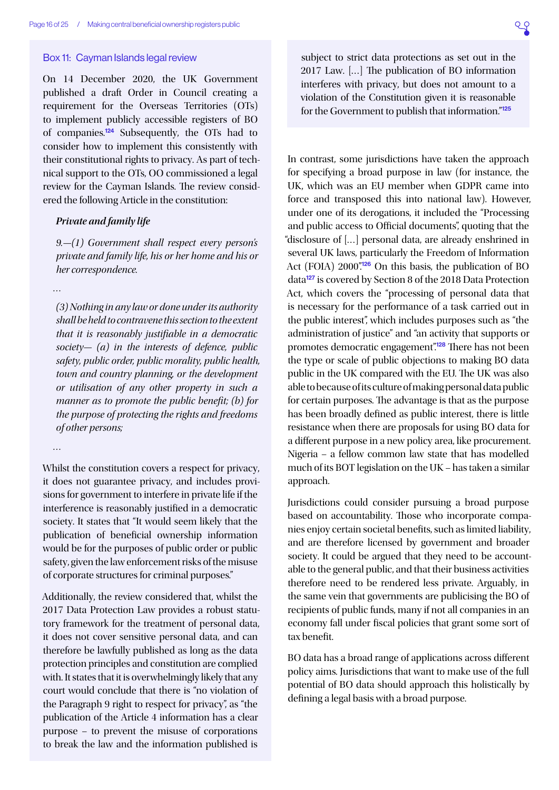#### <span id="page-15-1"></span><span id="page-15-0"></span>Box 11: Cayman Islands legal review

On 14 December 2020, the UK Government published a draft Order in Council creating a requirement for the Overseas Territories (OTs) to implement publicly accessible registers of BO of companies.[124](#page-23-0) Subsequently, the OTs had to consider how to implement this consistently with their constitutional rights to privacy. As part of technical support to the OTs, OO commissioned a legal review for the Cayman Islands. The review considered the following Article in the constitution:

# *Private and family life*

*9.—(1) Government shall respect every person's private and family life, his or her home and his or her correspondence.*

*…*

*(3) Nothing in any law or done under its authority shall be held to contravene this section to the extent that it is reasonably justifiable in a democratic society— (a) in the interests of defence, public safety, public order, public morality, public health, town and country planning, or the development or utilisation of any other property in such a manner as to promote the public benefit; (b) for the purpose of protecting the rights and freedoms of other persons;*

*…*

Whilst the constitution covers a respect for privacy, it does not guarantee privacy, and includes provisions for government to interfere in private life if the interference is reasonably justified in a democratic society. It states that "It would seem likely that the publication of beneficial ownership information would be for the purposes of public order or public safety, given the law enforcement risks of the misuse of corporate structures for criminal purposes."

Additionally, the review considered that, whilst the 2017 Data Protection Law provides a robust statutory framework for the treatment of personal data, it does not cover sensitive personal data, and can therefore be lawfully published as long as the data protection principles and constitution are complied with. It states that it is overwhelmingly likely that any court would conclude that there is "no violation of the Paragraph 9 right to respect for privacy", as "the publication of the Article 4 information has a clear purpose – to prevent the misuse of corporations to break the law and the information published is

subject to strict data protections as set out in the 2017 Law. […] The publication of BO information interferes with privacy, but does not amount to a violation of the Constitution given it is reasonable for the Government to publish that information."[125](#page-23-0)

In contrast, some jurisdictions have taken the approach for specifying a broad purpose in law (for instance, the UK, which was an EU member when GDPR came into force and transposed this into national law). However, under one of its derogations, it included the "Processing and public access to Official documents", quoting that the "disclosure of […] personal data, are already enshrined in several UK laws, particularly the Freedom of Information Act (FOIA)  $2000$ ".<sup>[126](#page-23-0)</sup> On this basis, the publication of BO data<sup>[127](#page-23-0)</sup> is covered by Section 8 of the 2018 Data Protection Act, which covers the "processing of personal data that is necessary for the performance of a task carried out in the public interest", which includes purposes such as "the administration of justice" and "an activity that supports or promotes democratic engagement"<sup>[128](#page-23-0)</sup> There has not been the type or scale of public objections to making BO data public in the UK compared with the EU. The UK was also able to because of its culture of making personal data public for certain purposes. The advantage is that as the purpose has been broadly defined as public interest, there is little resistance when there are proposals for using BO data for a different purpose in a new policy area, like procurement. Nigeria – a fellow common law state that has modelled much of its BOT legislation on the UK – has taken a similar approach.

Jurisdictions could consider pursuing a broad purpose based on accountability. Those who incorporate companies enjoy certain societal benefits, such as limited liability, and are therefore licensed by government and broader society. It could be argued that they need to be accountable to the general public, and that their business activities therefore need to be rendered less private. Arguably, in the same vein that governments are publicising the BO of recipients of public funds, many if not all companies in an economy fall under fiscal policies that grant some sort of tax benefit.

BO data has a broad range of applications across different policy aims. Jurisdictions that want to make use of the full potential of BO data should approach this holistically by defining a legal basis with a broad purpose.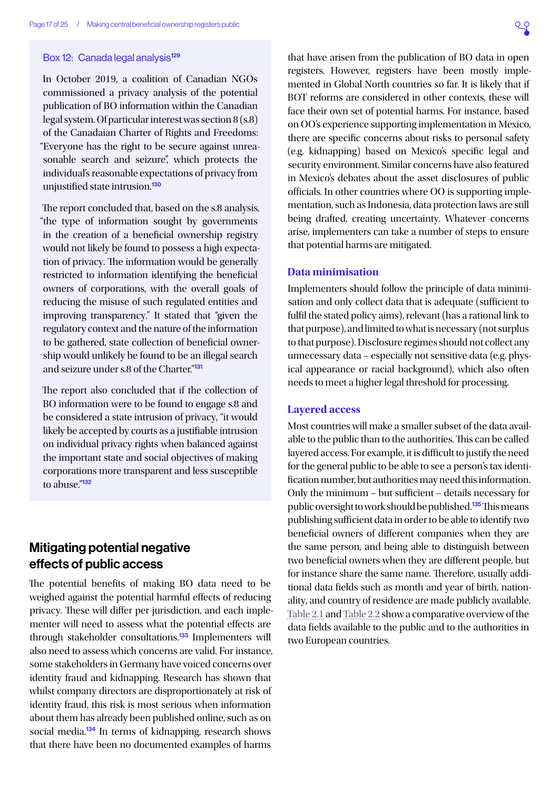### <span id="page-16-3"></span><span id="page-16-0"></span>Box 12: Canada legal analysis<sup>[129](#page-23-0)</sup>

In October 2019, a coalition of Canadian NGOs commissioned a privacy analysis of the potential publication of BO information within the Canadian legal system. Of particular interest was section 8 (s.8) of the Canadaian Charter of Rights and Freedoms: "Everyone has the right to be secure against unreasonable search and seizure", which protects the individual's reasonable expectations of privacy from unjustified state intrusion.<sup>[130](#page-23-0)</sup>

The report concluded that, based on the s.8 analysis, "the type of information sought by governments in the creation of a beneficial ownership registry would not likely be found to possess a high expectation of privacy. The information would be generally restricted to information identifying the beneficial owners of corporations, with the overall goals of reducing the misuse of such regulated entities and improving transparency." It stated that "given the regulatory context and the nature of the information to be gathered, state collection of beneficial ownership would unlikely be found to be an illegal search and seizure under s.8 of the Charter."[131](#page-23-0)

The report also concluded that if the collection of BO information were to be found to engage s.8 and be considered a state intrusion of privacy, "it would likely be accepted by courts as a justifiable intrusion on individual privacy rights when balanced against the important state and social objectives of making corporations more transparent and less susceptible to abuse."<sup>[132](#page-23-0)</sup>

# Mitigating potential negative effects of public access

The potential benefits of making BO data need to be weighed against the potential harmful effects of reducing privacy. These will differ per jurisdiction, and each implementer will need to assess what the potential effects are through stakeholder consultations.<sup>[133](#page-23-0)</sup> Implementers will also need to assess which concerns are valid. For instance, some stakeholders in Germany have voiced concerns over identity fraud and kidnapping. Research has shown that whilst company directors are disproportionately at risk of identity fraud, this risk is most serious when information about them has already been published online, such as on social media.<sup>[134](#page-23-0)</sup> In terms of kidnapping, research shows that there have been no documented examples of harms

<span id="page-16-1"></span>that have arisen from the publication of BO data in open registers. However, registers have been mostly implemented in Global North countries so far. It is likely that if BOT reforms are considered in other contexts, these will face their own set of potential harms. For instance, based on OO's experience supporting implementation in Mexico, there are specific concerns about risks to personal safety (e.g. kidnapping) based on Mexico's specific legal and security environment. Similar concerns have also featured in Mexico's debates about the asset disclosures of public officials. In other countries where OO is supporting implementation, such as Indonesia, data protection laws are still being drafted, creating uncertainty. Whatever concerns arise, implementers can take a number of steps to ensure that potential harms are mitigated.

### <span id="page-16-2"></span>**Data minimisation**

Implementers should follow the principle of data minimisation and only collect data that is adequate (sufficient to fulfil the stated policy aims), relevant (has a rational link to that purpose), and limited to what is necessary (not surplus to that purpose). Disclosure regimes should not collect any unnecessary data – especially not sensitive data (e.g. physical appearance or racial background), which also often needs to meet a higher legal threshold for processing.

#### **Layered access**

Most countries will make a smaller subset of the data available to the public than to the authorities. This can be called layered access. For example, it is difficult to justify the need for the general public to be able to see a person's tax identification number, but authorities may need this information. Only the minimum – but sufficient – details necessary for public oversight to work should be published.[135](#page-23-0) This means publishing sufficient data in order to be able to identify two beneficial owners of different companies when they are the same person, and being able to distinguish between two beneficial owners when they are different people, but for instance share the same name. Therefore, usually additional data fields such as month and year of birth, nationality, and country of residence are made publicly available. [Table 2.1](#page-17-0) and [Table 2.2](#page-17-1) show a comparative overview of the data fields available to the public and to the authorities in two European countries.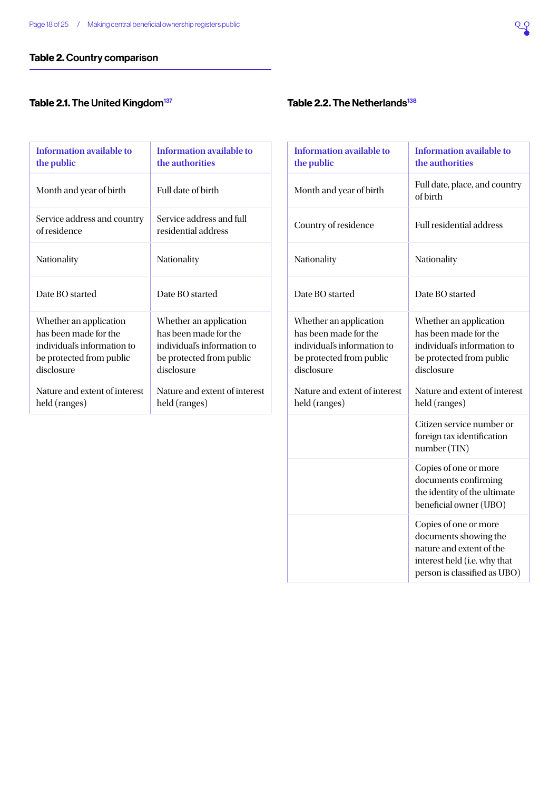# <span id="page-17-2"></span>Table 2. Country comparison

# <span id="page-17-0"></span>Table 2.1. The United Kingdom<sup>137</sup>

| Information available to      | Information available to      |
|-------------------------------|-------------------------------|
| the public                    | the authorities               |
| Month and year of birth       | Full date of birth            |
| Service address and country   | Service address and full      |
| of residence                  | residential address           |
| Nationality                   | Nationality                   |
| Date BO started               | Date BO started               |
| Whether an application        | Whether an application        |
| has been made for the         | has been made for the         |
| individual's information to   | individual's information to   |
| be protected from public      | be protected from public      |
| disclosure                    | disclosure                    |
| Nature and extent of interest | Nature and extent of interest |
| held (ranges)                 | held (ranges)                 |

# <span id="page-17-1"></span>Table 2.2. The Netherlands $138$

| <b>Information available to</b><br>the public                                                                            | <b>Information available to</b><br>the authorities                                                                                         |
|--------------------------------------------------------------------------------------------------------------------------|--------------------------------------------------------------------------------------------------------------------------------------------|
| Month and year of birth                                                                                                  | Full date, place, and country<br>of birth                                                                                                  |
| Country of residence                                                                                                     | <b>Full residential address</b>                                                                                                            |
| Nationality                                                                                                              | Nationality                                                                                                                                |
| Date BO started                                                                                                          | Date BO started                                                                                                                            |
| Whether an application<br>has been made for the<br>individual's information to<br>be protected from public<br>disclosure | Whether an application<br>has been made for the<br>individual's information to<br>be protected from public<br>disclosure                   |
| Nature and extent of interest<br>held (ranges)                                                                           | Nature and extent of interest<br>held (ranges)                                                                                             |
|                                                                                                                          | Citizen service number or<br>foreign tax identification<br>number (TIN)                                                                    |
|                                                                                                                          | Copies of one or more<br>documents confirming<br>the identity of the ultimate<br>beneficial owner (UBO)                                    |
|                                                                                                                          | Copies of one or more<br>documents showing the<br>nature and extent of the<br>interest held (i.e. why that<br>person is classified as UBO) |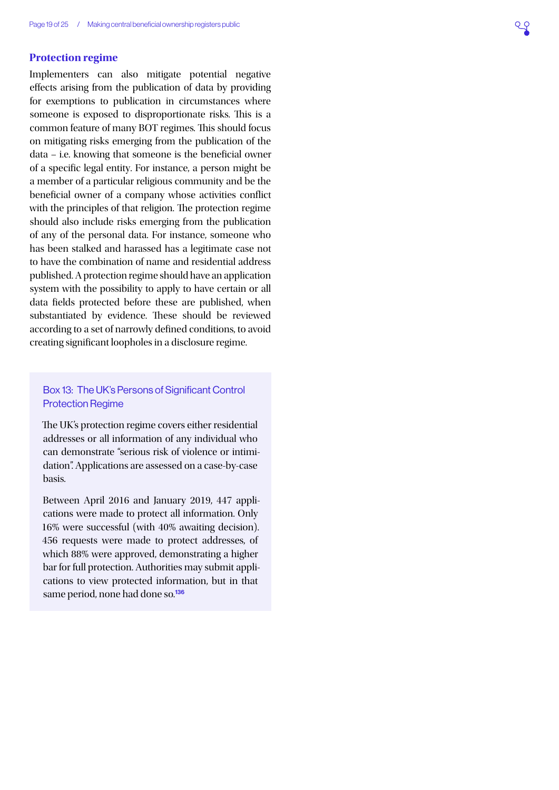## <span id="page-18-1"></span><span id="page-18-0"></span>**Protection regime**

Implementers can also mitigate potential negative effects arising from the publication of data by providing for exemptions to publication in circumstances where someone is exposed to disproportionate risks. This is a common feature of many BOT regimes. This should focus on mitigating risks emerging from the publication of the data – i.e. knowing that someone is the beneficial owner of a specific legal entity. For instance, a person might be a member of a particular religious community and be the beneficial owner of a company whose activities conflict with the principles of that religion. The protection regime should also include risks emerging from the publication of any of the personal data. For instance, someone who has been stalked and harassed has a legitimate case not to have the combination of name and residential address published. A protection regime should have an application system with the possibility to apply to have certain or all data fields protected before these are published, when substantiated by evidence. These should be reviewed according to a set of narrowly defined conditions, to avoid creating significant loopholes in a disclosure regime.

# Box 13: The UK's Persons of Significant Control Protection Regime

The UK's protection regime covers either residential addresses or all information of any individual who can demonstrate "serious risk of violence or intimidation". Applications are assessed on a case-by-case basis.

Between April 2016 and January 2019, 447 applications were made to protect all information. Only 16% were successful (with 40% awaiting decision). 456 requests were made to protect addresses, of which 88% were approved, demonstrating a higher bar for full protection. Authorities may submit applications to view protected information, but in that same period, none had done so.<sup>[136](#page-23-0)</sup>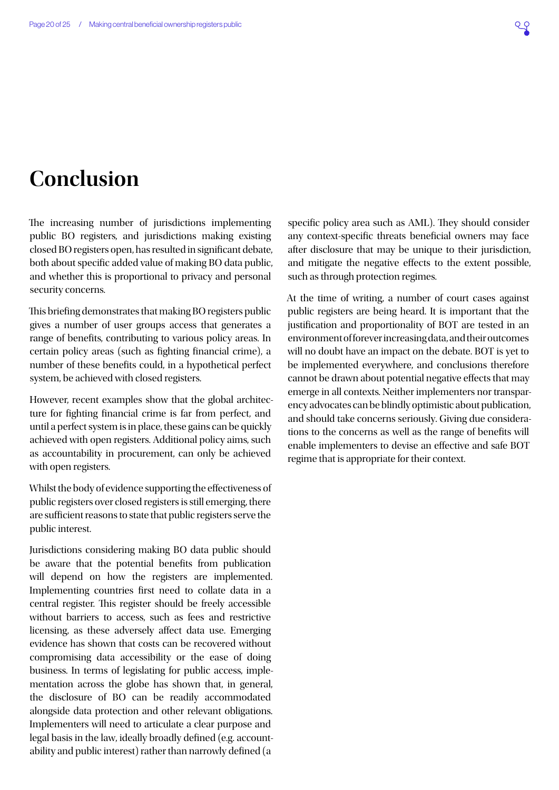# <span id="page-19-0"></span>**Conclusion**

The increasing number of jurisdictions implementing public BO registers, and jurisdictions making existing closed BO registers open, has resulted in significant debate, both about specific added value of making BO data public, and whether this is proportional to privacy and personal security concerns.

This briefing demonstrates that making BO registers public gives a number of user groups access that generates a range of benefits, contributing to various policy areas. In certain policy areas (such as fighting financial crime), a number of these benefits could, in a hypothetical perfect system, be achieved with closed registers.

However, recent examples show that the global architecture for fighting financial crime is far from perfect, and until a perfect system is in place, these gains can be quickly achieved with open registers. Additional policy aims, such as accountability in procurement, can only be achieved with open registers.

Whilst the body of evidence supporting the effectiveness of public registers over closed registers is still emerging, there are sufficient reasons to state that public registers serve the public interest.

Jurisdictions considering making BO data public should be aware that the potential benefits from publication will depend on how the registers are implemented. Implementing countries first need to collate data in a central register. This register should be freely accessible without barriers to access, such as fees and restrictive licensing, as these adversely affect data use. Emerging evidence has shown that costs can be recovered without compromising data accessibility or the ease of doing business. In terms of legislating for public access, implementation across the globe has shown that, in general, the disclosure of BO can be readily accommodated alongside data protection and other relevant obligations. Implementers will need to articulate a clear purpose and legal basis in the law, ideally broadly defined (e.g. accountability and public interest) rather than narrowly defined (a

specific policy area such as AML). They should consider any context-specific threats beneficial owners may face after disclosure that may be unique to their jurisdiction, and mitigate the negative effects to the extent possible, such as through protection regimes.

At the time of writing, a number of court cases against public registers are being heard. It is important that the justification and proportionality of BOT are tested in an environment of forever increasing data, and their outcomes will no doubt have an impact on the debate. BOT is yet to be implemented everywhere, and conclusions therefore cannot be drawn about potential negative effects that may emerge in all contexts. Neither implementers nor transparency advocates can be blindly optimistic about publication, and should take concerns seriously. Giving due considerations to the concerns as well as the range of benefits will enable implementers to devise an effective and safe BOT regime that is appropriate for their context.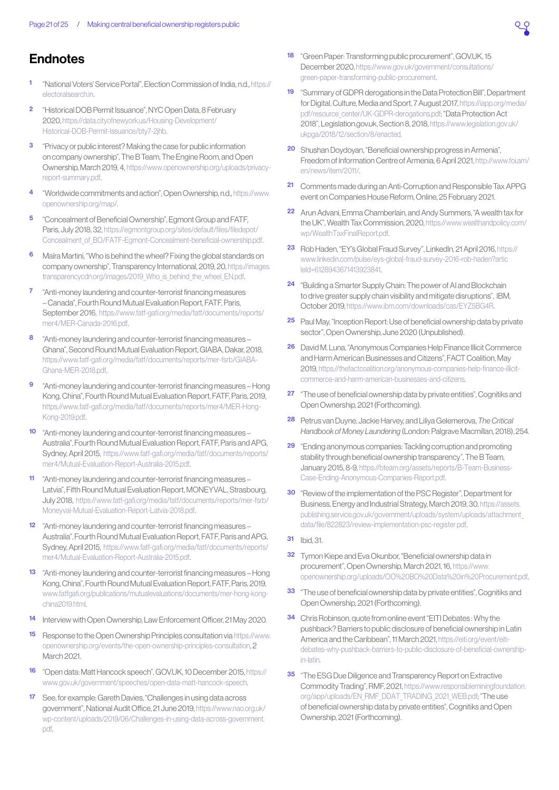# <span id="page-20-0"></span>**Endnotes**

- [1](#page-1-0) "National Voters' Service Portal", Election Commission of India, n.d., [https://](https://electoralsearch.in) [electoralsearch.in](https://electoralsearch.in).
- [2](#page-1-0) "Historical DOB Permit Issuance", NYC Open Data, 8 February 2020, [https://data.cityofnewyork.us/Housing-Development/](https://data.cityofnewyork.us/Housing-Development/Historical-DOB-Permit-Issuance/bty7-2jhb) [Historical-DOB-Permit-Issuance/bty7-2jhb.](https://data.cityofnewyork.us/Housing-Development/Historical-DOB-Permit-Issuance/bty7-2jhb)
- [3](#page-1-0) "Privacy or public interest? Making the case for public information on company ownership", The B Team, The Engine Room, and Open Ownership, March 2019, 4, [https://www.openownership.org/uploads/privacy](https://www.openownership.org/uploads/privacy-report-summary.pdf)[report-summary.pdf](https://www.openownership.org/uploads/privacy-report-summary.pdf).
- [4](#page-1-0) "Worldwide commitments and action", Open Ownership, n.d., [https://www.](https://www.openownership.org/map/) [openownership.org/map/.](https://www.openownership.org/map/)
- [5](#page-4-0) "Concealment of Beneficial Ownership", Egmont Group and FATF, Paris, July 2018, 32, [https://egmontgroup.org/sites/default/files/filedepot/](https://egmontgroup.org/sites/default/files/filedepot/Concealment_of_BO/FATF-Egmont-Concealment-beneficial-ownership.pdf) [Concealment\\_of\\_BO/FATF-Egmont-Concealment-beneficial-ownership.pdf](https://egmontgroup.org/sites/default/files/filedepot/Concealment_of_BO/FATF-Egmont-Concealment-beneficial-ownership.pdf).
- [6](#page-4-0) Maíra Martini, "Who is behind the wheel? Fixing the global standards on company ownership", Transparency International, 2019, 20, [https://images.](https://images.transparencycdn.org/images/2019_Who_is_behind_the_wheel_EN.pdf) transparencycdn.org/images/2019 Who is behind the wheel EN.pdf.
- [7](#page-4-0) "Anti-money laundering and counter-terrorist financing measures – Canada", Fourth Round Mutual Evaluation Report, FATF, Paris, September 2016, [https://www.fatf-gafi.org/media/fatf/documents/reports/](https://www.fatf-gafi.org/media/fatf/documents/reports/mer4/MER-Canada-2016.pdf) [mer4/MER-Canada-2016.pdf](https://www.fatf-gafi.org/media/fatf/documents/reports/mer4/MER-Canada-2016.pdf).
- [8](#page-4-0) *"Anti-money laundering and counter-terrorist financing measures-*Ghana", Second Round Mutual Evaluation Report, GIABA, Dakar, 2018, [https://www.fatf-gafi.org/media/fatf/documents/reports/mer-fsrb/GIABA-](https://www.fatf-gafi.org/media/fatf/documents/reports/mer-fsrb/GIABA-Ghana-MER-2018.pdf)[Ghana-MER-2018.pdf](https://www.fatf-gafi.org/media/fatf/documents/reports/mer-fsrb/GIABA-Ghana-MER-2018.pdf).
- [9](#page-4-0) "Anti-money laundering and counter-terrorist financing measures Hong Kong, China", Fourth Round Mutual Evaluation Report, FATF, Paris, 2019, [https://www.fatf-gafi.org/media/fatf/documents/reports/mer4/MER-Hong-](https://www.fatf-gafi.org/media/fatf/documents/reports/mer4/MER-Hong-Kong-2019.pdf)[Kong-2019.pdf.](https://www.fatf-gafi.org/media/fatf/documents/reports/mer4/MER-Hong-Kong-2019.pdf)
- [10](#page-4-0) "Anti-money laundering and counter-terrorist financing measures Australia", Fourth Round Mutual Evaluation Report, FATF, Paris and APG, Sydney, April 2015, [https://www.fatf-gafi.org/media/fatf/documents/reports/](https://www.fatf-gafi.org/media/fatf/documents/reports/mer4/Mutual-Evaluation-Report-Australia-2015.pdf) [mer4/Mutual-Evaluation-Report-Australia-2015.pdf](https://www.fatf-gafi.org/media/fatf/documents/reports/mer4/Mutual-Evaluation-Report-Australia-2015.pdf).
- "Anti-money laundering and counter-terrorist financing measures Latvia", Fifth Round Mutual Evaluation Report, MONEYVAL, Strasbourg, July 2018, [https://www.fatf-gafi.org/media/fatf/documents/reports/mer-fsrb/](https://www.fatf-gafi.org/media/fatf/documents/reports/mer-fsrb/Moneyval-Mutual-Evaluation-Report-Latvia-2018.pdf) [Moneyval-Mutual-Evaluation-Report-Latvia-2018.pdf.](https://www.fatf-gafi.org/media/fatf/documents/reports/mer-fsrb/Moneyval-Mutual-Evaluation-Report-Latvia-2018.pdf)
- [12](#page-4-0) "Anti-money laundering and counter-terrorist financing measures Australia", Fourth Round Mutual Evaluation Report, FATF, Paris and APG, Sydney, April 2015, [https://www.fatf-gafi.org/media/fatf/documents/reports/](https://www.fatf-gafi.org/media/fatf/documents/reports/mer4/Mutual-Evaluation-Report-Australia-2015.pdf) [mer4/Mutual-Evaluation-Report-Australia-2015.pdf](https://www.fatf-gafi.org/media/fatf/documents/reports/mer4/Mutual-Evaluation-Report-Australia-2015.pdf).
- [13](#page-4-0) "Anti-money laundering and counter-terrorist financing measures Hong Kong, China", Fourth Round Mutual Evaluation Report, FATF, Paris, 2019, [www.fatfgafi.org/publications/mutualevaluations/documents/mer-hong-kong](http://www.fatfgafi.org/publications/mutualevaluations/documents/mer-hong-kong-china2019.html)[china2019.html](http://www.fatfgafi.org/publications/mutualevaluations/documents/mer-hong-kong-china2019.html).
- [14](#page-5-0) Interview with Open Ownership, Law Enforcement Officer, 21 May 2020.
- [15](#page-5-0) Response to the Open Ownership Principles consultation via [https://www.](https://www.openownership.org/events/the-open-ownership-principles-consultation) [openownership.org/events/the-open-ownership-principles-consultation](https://www.openownership.org/events/the-open-ownership-principles-consultation), 2 March 2021.
- [16](#page-5-0) "Open data: Matt Hancock speech", GOV.UK, 10 December 2015, [https://](https://www.gov.uk/government/speeches/open-data-matt-hancock-speech) [www.gov.uk/government/speeches/open-data-matt-hancock-speech](https://www.gov.uk/government/speeches/open-data-matt-hancock-speech).
- [17](#page-5-0) See, for example: Gareth Davies, "Challenges in using data across" government", National Audit Office, 21 June 2019, [https://www.nao.org.uk/](https://www.nao.org.uk/wp-content/uploads/2019/06/Challenges-in-using-data-across-government.pdf) [wp-content/uploads/2019/06/Challenges-in-using-data-across-government.](https://www.nao.org.uk/wp-content/uploads/2019/06/Challenges-in-using-data-across-government.pdf) [pdf.](https://www.nao.org.uk/wp-content/uploads/2019/06/Challenges-in-using-data-across-government.pdf)
- [18](#page-5-0) "Green Paper: Transforming public procurement", GOV.UK, 15 December 2020, [https://www.gov.uk/government/consultations/](https://www.gov.uk/government/consultations/green-paper-transforming-public-procurement) [green-paper-transforming-public-procurement](https://www.gov.uk/government/consultations/green-paper-transforming-public-procurement).
- [19](#page-5-0) "Summary of GDPR derogations in the Data Protection Bill", Department for Digital, Culture, Media and Sport, 7 August 2017, [https://iapp.org/media/](https://iapp.org/media/pdf/resource_center/UK-GDPR-derogations.pdf) [pdf/resource\\_center/UK-GDPR-derogations.pdf;](https://iapp.org/media/pdf/resource_center/UK-GDPR-derogations.pdf) "Data Protection Act 2018", Legislation.gov.uk, Section 8, 2018, [https://www.legislation.gov.uk/](https://www.legislation.gov.uk/ukpga/2018/12/section/8/enacted) [ukpga/2018/12/section/8/enacted.](https://www.legislation.gov.uk/ukpga/2018/12/section/8/enacted)
- [20](#page-5-0) Shushan Doydoyan, "Beneficial ownership progress in Armenia", Freedom of Information Centre of Armenia, 6 April 2021, [http://www.foi.am/](http://www.foi.am/en/news/item/2011/) [en/news/item/2011/.](http://www.foi.am/en/news/item/2011/)
- [21](#page-5-0) Comments made during an Anti-Corruption and Responsible Tax APPG event on Companies House Reform, Online, 25 February 2021.
- [22](#page-5-0) Arun Advani, Emma Chamberlain, and Andy Summers, "A wealth tax for the UK", Wealth Tax Commission, 2020, [https://www.wealthandpolicy.com/](https://www.wealthandpolicy.com/wp/WealthTaxFinalReport.pdf) [wp/WealthTaxFinalReport.pdf.](https://www.wealthandpolicy.com/wp/WealthTaxFinalReport.pdf)
- [23](#page-5-0) Rob Haden, "EY's Global Fraud Survey", LinkedIn, 21 April 2016, [https://](https://www.linkedin.com/pulse/eys-global-fraud-survey-2016-rob-haden?articleId=6128943671413923841) [www.linkedin.com/pulse/eys-global-fraud-survey-2016-rob-haden?artic](https://www.linkedin.com/pulse/eys-global-fraud-survey-2016-rob-haden?articleId=6128943671413923841) [leId=6128943671413923841.](https://www.linkedin.com/pulse/eys-global-fraud-survey-2016-rob-haden?articleId=6128943671413923841)
- [24](#page-5-0) "Building a Smarter Supply Chain: The power of AI and Blockchain to drive greater supply chain visibility and mitigate disruptions", IBM, October 2019, [https://www.ibm.com/downloads/cas/EYZ5BG4R.](https://www.ibm.com/downloads/cas/EYZ5BG4R)
- [25](#page-6-0) Paul May, "Inception Report: Use of beneficial ownership data by private sector", Open Ownership, June 2020 (Unpublished).
- [26](#page-6-0) David M. Luna, "Anonymous Companies Help Finance Illicit Commerce and Harm American Businesses and Citizens", FACT Coalition, May 2019, [https://thefactcoalition.org/anonymous-companies-help-finance-illicit](https://thefactcoalition.org/anonymous-companies-help-finance-illicit-commerce-and-harm-american-businesses-and-citizens)[commerce-and-harm-american-businesses-and-citizens.](https://thefactcoalition.org/anonymous-companies-help-finance-illicit-commerce-and-harm-american-businesses-and-citizens)
- [27](#page-6-0) "The use of beneficial ownership data by private entities", Cognitiks and Open Ownership, 2021 (Forthcoming).
- [28](#page-6-0) Petrus van Duyne, Jackie Harvey, and Liliya Gelemerova, *The Critical Handbook of Money Laundering* (London: Palgrave Macmillan, 2018), 254.
- [29](#page-6-0) "Ending anonymous companies: Tackling corruption and promoting stability through beneficial ownership transparency", The B Team, January 2015, 8-9, [https://bteam.org/assets/reports/B-Team-Business-](https://bteam.org/assets/reports/B-Team-Business-Case-Ending-Anonymous-Companies-Report.pdf)[Case-Ending-Anonymous-Companies-Report.pdf](https://bteam.org/assets/reports/B-Team-Business-Case-Ending-Anonymous-Companies-Report.pdf).
- [30](#page-6-0) "Review of the implementation of the PSC Register", Department for Business, Energy and Industrial Strategy, March 2019, 30, [https://assets.](https://assets.publishing.service.gov.uk/government/uploads/system/uploads/attachment_data/file/822823/review-implementation-psc-register.pdf) [publishing.service.gov.uk/government/uploads/system/uploads/attachment\\_](https://assets.publishing.service.gov.uk/government/uploads/system/uploads/attachment_data/file/822823/review-implementation-psc-register.pdf) [data/file/822823/review-implementation-psc-register.pdf.](https://assets.publishing.service.gov.uk/government/uploads/system/uploads/attachment_data/file/822823/review-implementation-psc-register.pdf)
- [31](#page-6-0) Ibid, 31.
- **[32](#page-6-0)** Tymon Kiepe and Eva Okunbor, "Beneficial ownership data in procurement", Open Ownership, March 2021, 16, [https://www.](https://www.openownership.org/uploads/OO%20BO%20Data%20in%20Procurement.pdf) [openownership.org/uploads/OO%20BO%20Data%20in%20Procurement.pdf](https://www.openownership.org/uploads/OO%20BO%20Data%20in%20Procurement.pdf).
- [33](#page-6-0) The use of beneficial ownership data by private entities", Cognitiks and Open Ownership, 2021 (Forthcoming).
- [34](#page-6-0) Chris Robinson, quote from online event "EITI Debates : Why the pushback? Barriers to public disclosure of beneficial ownership in Latin America and the Caribbean", 11 March 2021, [https://eiti.org/event/eiti](https://eiti.org/event/eiti-debates-why-pushback-barriers-to-public-disclosure-of-beneficial-ownership-in-latin)[debates-why-pushback-barriers-to-public-disclosure-of-beneficial-ownership](https://eiti.org/event/eiti-debates-why-pushback-barriers-to-public-disclosure-of-beneficial-ownership-in-latin)[in-latin](https://eiti.org/event/eiti-debates-why-pushback-barriers-to-public-disclosure-of-beneficial-ownership-in-latin).
- [35](#page-6-0) "The ESG Due Diligence and Transparency Report on Extractive Commodity Trading", RMF, 2021, [https://www.responsibleminingfoundation.](https://www.responsibleminingfoundation.org/app/uploads/EN_RMF_DDAT_TRADING_2021_WEB.pdf) [org/app/uploads/EN\\_RMF\\_DDAT\\_TRADING\\_2021\\_WEB.pdf;](https://www.responsibleminingfoundation.org/app/uploads/EN_RMF_DDAT_TRADING_2021_WEB.pdf) "The use of beneficial ownership data by private entities", Cognitiks and Open Ownership, 2021 (Forthcoming).

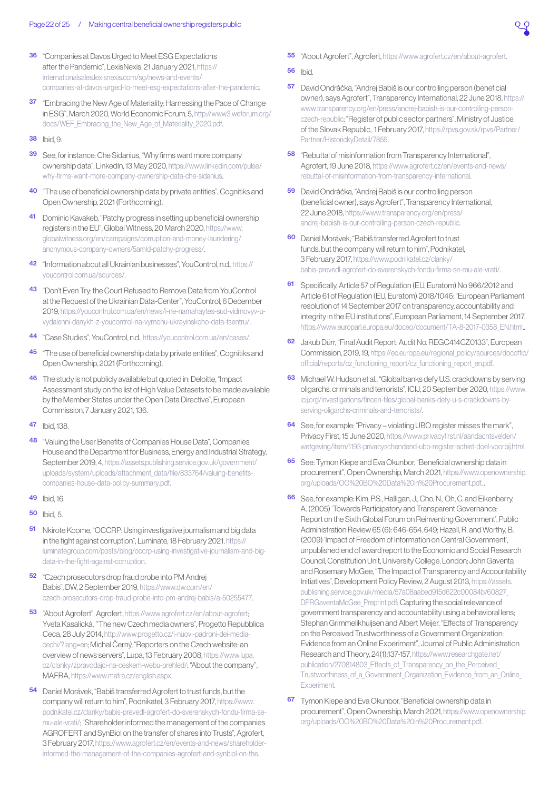- <span id="page-21-0"></span>[36](#page-6-0) "Companies at Davos Urged to Meet ESG Expectations after the Pandemic", LexisNexis, 21 January 2021, [https://](https://internationalsales.lexisnexis.com/sg/news-and-events/companies-at-davos-urged-to-meet-esg-expectations-after-the-pandemic) [internationalsales.lexisnexis.com/sg/news-and-events/](https://internationalsales.lexisnexis.com/sg/news-and-events/companies-at-davos-urged-to-meet-esg-expectations-after-the-pandemic) [companies-at-davos-urged-to-meet-esg-expectations-after-the-pandemic.](https://internationalsales.lexisnexis.com/sg/news-and-events/companies-at-davos-urged-to-meet-esg-expectations-after-the-pandemic)
- [37](#page-6-0) "Embracing the New Age of Materiality: Harnessing the Pace of Change in ESG", March 2020, World Economic Forum, 5, [http://www3.weforum.org/](http://www3.weforum.org/docs/WEF_Embracing_the_New_Age_of_Materiality_2020.pdf) [docs/WEF\\_Embracing\\_the\\_New\\_Age\\_of\\_Materiality\\_2020.pdf.](http://www3.weforum.org/docs/WEF_Embracing_the_New_Age_of_Materiality_2020.pdf)
- **[38](#page-6-0)** Ibid 9
- [39](#page-6-0) See, for instance: Che Sidanius, "Why firms want more company ownership data", LinkedIn, 13 May 2020, [https://www.linkedin.com/pulse/](https://www.linkedin.com/pulse/why-firms-want-more-company-ownership-data-che-sidanius) [why-firms-want-more-company-ownership-data-che-sidanius.](https://www.linkedin.com/pulse/why-firms-want-more-company-ownership-data-che-sidanius)
- [40](#page-6-0) The use of beneficial ownership data by private entities", Cognitiks and Open Ownership, 2021 (Forthcoming).
- [41](#page-6-0) Dominic Kavakeb, "Patchy progress in setting up beneficial ownership registers in the EU", Global Witness, 20 March 2020, [https://www.](https://www.globalwitness.org/en/campaigns/corruption-and-money-laundering/anonymous-company-owners/5amld-patchy-progress/) [globalwitness.org/en/campaigns/corruption-and-money-laundering/](https://www.globalwitness.org/en/campaigns/corruption-and-money-laundering/anonymous-company-owners/5amld-patchy-progress/) [anonymous-company-owners/5amld-patchy-progress/](https://www.globalwitness.org/en/campaigns/corruption-and-money-laundering/anonymous-company-owners/5amld-patchy-progress/).
- [42](#page-7-0) "Information about all Ukrainian businesses", YouControl, n.d., [https://](https://youcontrol.com.ua/sources/?__cf_chl_captcha_tk__=a46e96738153e98a074e26e2bd897a44da49cc01-1615748821-0-AQOWvGCnmU_4kbcLehMOKXp2FOtLSmuEWYK2e1GFAsGAj7i9iMHi2iu3fjGSqlx5V8u0VKbA9HW3zM2QumnBAWOiBgxc8l-LWdWbpzrYtVfrc3IeZaIKvqZ1S1l6MFpCTlEAxxaYYs1qEtsn9lduNwkxKA1rdpzYmwbpgvl-uKTjJpX2DJFKa8kQ283uqKyzOoOyjnwLa3EupTcJo7Ns450B9rIMeZrJW-6DeoboK8truAbc0U-tygnmUV1HUNx9npJJGAlCAe7Sp9vshTxEPAJLUYEnMzS1DNpOp91ZTBdUKcHzRuv-1WGqy-TDVuHBn_lN8I5fosFugc-K9GGiJCOOLqqDnBvjTheORHmAGdHmoR9_7_6U2b35vDV_noTAflVs86ifrfbTt1tCina8DHmstQ87KfjErRO0CP03umQwBYevwG2Caay__oH1VJU_g0-hxHbonmf0tH-_opmg6yOshieTUhOLd7IHgB8fBxsX_tku6M-jsLzSRObB1zbsbMe0W_KlK56IzYKpL7wPa2REvEP_5IVI8pIOCqXh1yxAqw4Pj93kn0RoME_yAnNmHJ52NZe0INnxXWD1ukEhbkPxEVjIdZ5B-0ltZujHt0im) [youcontrol.com.ua/sources/.](https://youcontrol.com.ua/sources/?__cf_chl_captcha_tk__=a46e96738153e98a074e26e2bd897a44da49cc01-1615748821-0-AQOWvGCnmU_4kbcLehMOKXp2FOtLSmuEWYK2e1GFAsGAj7i9iMHi2iu3fjGSqlx5V8u0VKbA9HW3zM2QumnBAWOiBgxc8l-LWdWbpzrYtVfrc3IeZaIKvqZ1S1l6MFpCTlEAxxaYYs1qEtsn9lduNwkxKA1rdpzYmwbpgvl-uKTjJpX2DJFKa8kQ283uqKyzOoOyjnwLa3EupTcJo7Ns450B9rIMeZrJW-6DeoboK8truAbc0U-tygnmUV1HUNx9npJJGAlCAe7Sp9vshTxEPAJLUYEnMzS1DNpOp91ZTBdUKcHzRuv-1WGqy-TDVuHBn_lN8I5fosFugc-K9GGiJCOOLqqDnBvjTheORHmAGdHmoR9_7_6U2b35vDV_noTAflVs86ifrfbTt1tCina8DHmstQ87KfjErRO0CP03umQwBYevwG2Caay__oH1VJU_g0-hxHbonmf0tH-_opmg6yOshieTUhOLd7IHgB8fBxsX_tku6M-jsLzSRObB1zbsbMe0W_KlK56IzYKpL7wPa2REvEP_5IVI8pIOCqXh1yxAqw4Pj93kn0RoME_yAnNmHJ52NZe0INnxXWD1ukEhbkPxEVjIdZ5B-0ltZujHt0im)
- [43](#page-7-0) "Don't Even Try: the Court Refused to Remove Data from YouControl at the Request of the Ukrainian Data-Center", YouControl, 6 December 2019, [https://youcontrol.com.ua/en/news/i-ne-namahaytes-sud-vidmovyv-u](https://youcontrol.com.ua/en/news/i-ne-namahaytes-sud-vidmovyv-u-vydalenni-danykh-z-youcontrol-na-vymohu-ukrayinskoho-data-tsentru/?__cf_chl_captcha_tk__=f8ef43e85fd7ed07ae9ab000ae1c93f791b6d0b8-1615766963-0-AZZX9unGMSiYGWhdhbJRBJVRcYpULzJ2FF2rZM4lGr-zR0ieQhmWo3l-RNhsGpQ21lWf22Q5cQnqlenWeSEB3OosG6C6XrWXZ6NYEeWlGcbycyEV3RWoAzqmiN92JXzacZUA-cfLRrc1KrMbc8CWnT5OvBwOcQ4Glrr8J202w1yf1EwmPGQUHTaA8pdrTCDY_J2fvxCHW3USl9NbHKE4kj9irvW3U7lCRo6yNZ3RVysh1rYKrQf6w1YzIvd-yJjLAW8SPGkRUziH6U3YFtFEnBGI49qkuzxmZZvbUZtS18slwj86uR6g2tqjWDUrP7LQMwXKsT9NdSM3rSPaFgL_9iD8XjuI-CV7B0RIWssBtdILSz7DkhtiuSI0UGLKC5vf_F0E4YNkJqQRSOJBYGm6J0DhlwGZbU1DaFWp6l2Eo_UZ6nPJU1roUqSVTsUb-94re4EYQMJRP33PmrMQ4i6FUyNc30dlZePcCwHuIgGsfT7zVK7TW4HeiPZe0nAeetfC8raHNlFF12Hud1QvIFZYHeyj1a66tKfnnBcNApKTKUJhdOc4thhe_HmhJ0IYeaUVMsCUf089VNKARxtC333xigeblifxaOT_q0PLQsz7p6rq6Ptqgh6waZ3IOF2yTYykzHXO4ydhs5AwqxCtifWHKbqIujqX5yq5FUHC3UD13nNTsVByQqhjtwElSekvRFAH05ofxZrL7OiY67W_rVbAZrYLZmMsFdvJsLn79ye4Bi6w)[vydalenni-danykh-z-youcontrol-na-vymohu-ukrayinskoho-data-tsentru/.](https://youcontrol.com.ua/en/news/i-ne-namahaytes-sud-vidmovyv-u-vydalenni-danykh-z-youcontrol-na-vymohu-ukrayinskoho-data-tsentru/?__cf_chl_captcha_tk__=f8ef43e85fd7ed07ae9ab000ae1c93f791b6d0b8-1615766963-0-AZZX9unGMSiYGWhdhbJRBJVRcYpULzJ2FF2rZM4lGr-zR0ieQhmWo3l-RNhsGpQ21lWf22Q5cQnqlenWeSEB3OosG6C6XrWXZ6NYEeWlGcbycyEV3RWoAzqmiN92JXzacZUA-cfLRrc1KrMbc8CWnT5OvBwOcQ4Glrr8J202w1yf1EwmPGQUHTaA8pdrTCDY_J2fvxCHW3USl9NbHKE4kj9irvW3U7lCRo6yNZ3RVysh1rYKrQf6w1YzIvd-yJjLAW8SPGkRUziH6U3YFtFEnBGI49qkuzxmZZvbUZtS18slwj86uR6g2tqjWDUrP7LQMwXKsT9NdSM3rSPaFgL_9iD8XjuI-CV7B0RIWssBtdILSz7DkhtiuSI0UGLKC5vf_F0E4YNkJqQRSOJBYGm6J0DhlwGZbU1DaFWp6l2Eo_UZ6nPJU1roUqSVTsUb-94re4EYQMJRP33PmrMQ4i6FUyNc30dlZePcCwHuIgGsfT7zVK7TW4HeiPZe0nAeetfC8raHNlFF12Hud1QvIFZYHeyj1a66tKfnnBcNApKTKUJhdOc4thhe_HmhJ0IYeaUVMsCUf089VNKARxtC333xigeblifxaOT_q0PLQsz7p6rq6Ptqgh6waZ3IOF2yTYykzHXO4ydhs5AwqxCtifWHKbqIujqX5yq5FUHC3UD13nNTsVByQqhjtwElSekvRFAH05ofxZrL7OiY67W_rVbAZrYLZmMsFdvJsLn79ye4Bi6w)
- [44](#page-7-0) "Case Studies", YouControl, n.d., [https://youcontrol.com.ua/en/cases/.](https://youcontrol.com.ua/en/cases/)
- [45](#page-7-0) "The use of beneficial ownership data by private entities", Cognitiks and Open Ownership, 2021 (Forthcoming).
- **[46](#page-7-0)** The study is not publicly available but quoted in: Deloitte, "Impact" Assessment study on the list of High Value Datasets to be made available by the Member States under the Open Data Directive", European Commission, 7 January 2021, 136.
- [47](#page-7-0) Ibid, 138.
- [48](#page-7-0) "Valuing the User Benefits of Companies House Data", Companies House and the Department for Business, Energy and Industrial Strategy, September 2019, 4, [https://assets.publishing.service.gov.uk/government/](https://assets.publishing.service.gov.uk/government/uploads/system/uploads/attachment_data/file/833764/valuing-benefits-companies-house-data-policy-summary.pdf) [uploads/system/uploads/attachment\\_data/file/833764/valuing-benefits](https://assets.publishing.service.gov.uk/government/uploads/system/uploads/attachment_data/file/833764/valuing-benefits-companies-house-data-policy-summary.pdf)[companies-house-data-policy-summary.pdf.](https://assets.publishing.service.gov.uk/government/uploads/system/uploads/attachment_data/file/833764/valuing-benefits-companies-house-data-policy-summary.pdf)
- [49](#page-7-0) Ibid, 16.
- [50](#page-7-0) Ibid, 5.
- [51](#page-7-0) Nkirote Koome, "OCCRP: Using investigative journalism and big data in the fight against corruption", Luminate, 18 February 2021, [https://](https://luminategroup.com/posts/blog/occrp-using-investigative-journalism-and-big-data-in-the-fight-against-corruption) [luminategroup.com/posts/blog/occrp-using-investigative-journalism-and-big](https://luminategroup.com/posts/blog/occrp-using-investigative-journalism-and-big-data-in-the-fight-against-corruption)[data-in-the-fight-against-corruption](https://luminategroup.com/posts/blog/occrp-using-investigative-journalism-and-big-data-in-the-fight-against-corruption).
- [52](#page-7-0) "Czech prosecutors drop fraud probe into PM Andrej Babis", DW, 2 September 2019, [https://www.dw.com/en/](https://www.dw.com/en/czech-prosecutors-drop-fraud-probe-into-pm-andrej-babis/a-50255477) [czech-prosecutors-drop-fraud-probe-into-pm-andrej-babis/a-50255477.](https://www.dw.com/en/czech-prosecutors-drop-fraud-probe-into-pm-andrej-babis/a-50255477)
- [53](#page-7-0) "About Agrofert", Agrofert, [https://www.agrofert.cz/en/about-agrofert;](https://www.agrofert.cz/en/about-agrofert) Yveta Kasalická, "The new Czech media owners", Progetto Repubblica Ceca, 28 July 2014, [http://www.progetto.cz/i-nuovi-padroni-dei-media](http://www.progetto.cz/i-nuovi-padroni-dei-media-cechi/?lang=en)[cechi/?lang=en](http://www.progetto.cz/i-nuovi-padroni-dei-media-cechi/?lang=en); Michal Černý, "Reporters on the Czech website: an overview of news servers", Lupa, 13 February 2008, [https://www.lupa.](https://www.lupa.cz/clanky/zpravodajci-na-ceskem-webu-prehled/) [cz/clanky/zpravodajci-na-ceskem-webu-prehled/](https://www.lupa.cz/clanky/zpravodajci-na-ceskem-webu-prehled/); "About the company", MAFRA, <https://www.mafra.cz/english.aspx>.
- [54](#page-8-0) Daniel Morávek, "Babiš transferred Agrofert to trust funds, but the company will return to him", Podnikatel, 3 February 2017, [https://www.](https://www.podnikatel.cz/clanky/babis-prevedl-agrofert-do-sverenskych-fondu-firma-se-mu-ale-vrati/) [podnikatel.cz/clanky/babis-prevedl-agrofert-do-sverenskych-fondu-firma-se](https://www.podnikatel.cz/clanky/babis-prevedl-agrofert-do-sverenskych-fondu-firma-se-mu-ale-vrati/)[mu-ale-vrati/](https://www.podnikatel.cz/clanky/babis-prevedl-agrofert-do-sverenskych-fondu-firma-se-mu-ale-vrati/); "Shareholder informed the management of the companies AGROFERT and SynBiol on the transfer of shares into Trusts", Agrofert, 3 February 2017, [https://www.agrofert.cz/en/events-and-news/shareholder](https://www.agrofert.cz/en/events-and-news/shareholder-informed-the-management-of-the-companies-agrofert-and-synbiol-on-the)[informed-the-management-of-the-companies-agrofert-and-synbiol-on-the.](https://www.agrofert.cz/en/events-and-news/shareholder-informed-the-management-of-the-companies-agrofert-and-synbiol-on-the)
- [55](#page-8-0) "About Agrofert", Agrofert, [https://www.agrofert.cz/en/about-agrofert.](https://www.agrofert.cz/en/about-agrofert)
- [56](#page-8-0) Ibid.
- [57](#page-8-0) David Ondráčka, "Andrej Babiš is our controlling person (beneficial owner), says Agrofert", Transparency International, 22 June 2018, [https://](https://www.transparency.org/en/press/andrej-babish-is-our-controlling-person-czech-republic) [www.transparency.org/en/press/andrej-babish-is-our-controlling-person](https://www.transparency.org/en/press/andrej-babish-is-our-controlling-person-czech-republic)[czech-republic;](https://www.transparency.org/en/press/andrej-babish-is-our-controlling-person-czech-republic) "Register of public sector partners", Ministry of Justice of the Slovak Republic, 1 February 2017, [https://rpvs.gov.sk/rpvs/Partner/](https://rpvs.gov.sk/rpvs/Partner/Partner/HistorickyDetail/7859) [Partner/HistorickyDetail/7859](https://rpvs.gov.sk/rpvs/Partner/Partner/HistorickyDetail/7859).
- [58](#page-8-0) "Rebuttal of misinformation from Transparency International", Agrofert, 19 June 2018, [https://www.agrofert.cz/en/events-and-news/](https://www.agrofert.cz/en/events-and-news/rebuttal-of-misinformation-from-transparency-international) [rebuttal-of-misinformation-from-transparency-international.](https://www.agrofert.cz/en/events-and-news/rebuttal-of-misinformation-from-transparency-international)
- [59](#page-8-0) David Ondráčka, "Andrej Babiš is our controlling person (beneficial owner), says Agrofert", Transparency International, 22 June 2018, [https://www.transparency.org/en/press/](https://www.transparency.org/en/press/andrej-babish-is-our-controlling-person-czech-republic) [andrej-babish-is-our-controlling-person-czech-republic](https://www.transparency.org/en/press/andrej-babish-is-our-controlling-person-czech-republic).
- [60](#page-8-0) Daniel Morávek, "Babiš transferred Agrofert to trust funds, but the company will return to him", Podnikatel, 3 February 2017, [https://www.podnikatel.cz/clanky/](https://www.podnikatel.cz/clanky/babis-prevedl-agrofert-do-sverenskych-fondu-firma-se-mu-ale-vrati/) [babis-prevedl-agrofert-do-sverenskych-fondu-firma-se-mu-ale-vrati/](https://www.podnikatel.cz/clanky/babis-prevedl-agrofert-do-sverenskych-fondu-firma-se-mu-ale-vrati/).
- [61](#page-8-0) Specifically, Article 57 of Regulation (EU, Euratom) No 966/2012 and Article 61 of Regulation (EU, Euratom) 2018/1046: "European Parliament resolution of 14 September 2017 on transparency, accountability and integrity in the EU institutions", European Parliament, 14 September 2017, [https://www.europarl.europa.eu/doceo/document/TA-8-2017-0358\\_EN.html.](https://www.europarl.europa.eu/doceo/document/TA-8-2017-0358_EN.html)..
- [62](#page-8-0) Jakub Dürr, "Final Audit Report: Audit No. REGC414CZ0133", European Commission, 2019, 19, [https://ec.europa.eu/regional\\_policy/sources/docoffic/](https://ec.europa.eu/regional_policy/sources/docoffic/official/reports/cz_functioning_report/cz_functioning_report_en.pdf) [official/reports/cz\\_functioning\\_report/cz\\_functioning\\_report\\_en.pdf.](https://ec.europa.eu/regional_policy/sources/docoffic/official/reports/cz_functioning_report/cz_functioning_report_en.pdf)
- [63](#page-8-0) Michael W. Hudson et al., "Global banks defy U.S. crackdowns by serving oligarchs, criminals and terrorists", ICIJ, 20 September 2020, [https://www.](https://www.icij.org/investigations/fincen-files/global-banks-defy-u-s-crackdowns-by-serving-oligarchs-criminals-and-terrorists/) [icij.org/investigations/fincen-files/global-banks-defy-u-s-crackdowns-by](https://www.icij.org/investigations/fincen-files/global-banks-defy-u-s-crackdowns-by-serving-oligarchs-criminals-and-terrorists/)[serving-oligarchs-criminals-and-terrorists/.](https://www.icij.org/investigations/fincen-files/global-banks-defy-u-s-crackdowns-by-serving-oligarchs-criminals-and-terrorists/)
- [64](#page-8-0) See, for example: "Privacy violating UBO register misses the mark", Privacy First, 15 June 2020, [https://www.privacyfirst.nl/aandachtsvelden/](https://www.privacyfirst.nl/aandachtsvelden/wetgeving/item/1193-privacyschendend-ubo-register-schiet-doel-voorbij.html) [wetgeving/item/1193-privacyschendend-ubo-register-schiet-doel-voorbij.html.](https://www.privacyfirst.nl/aandachtsvelden/wetgeving/item/1193-privacyschendend-ubo-register-schiet-doel-voorbij.html)
- [65](#page-8-0) See: Tymon Kiepe and Eva Okunbor, "Beneficial ownership data in procurement", Open Ownership, March 2021, [https://www.openownership.](https://www.openownership.org/uploads/OO%20BO%20Data%20in%20Procurement.pdf) [org/uploads/OO%20BO%20Data%20in%20Procurement.pdf.](https://www.openownership.org/uploads/OO%20BO%20Data%20in%20Procurement.pdf) .
- [66](#page-8-0) See, for example: Kim, P.S., Halligan, J., Cho, N., Oh, C. and Eikenberry, A. (2005) 'Towards Participatory and Transparent Governance: Report on the Sixth Global Forum on Reinventing Government', Public Administration Review 65 (6): 646-654. 649; Hazell, R. and Worthy, B. (2009) 'Impact of Freedom of Information on Central Government', unpublished end of award report to the Economic and Social Research Council, Constitution Unit, University College, London; John Gaventa and Rosemary McGee, "The Impact of Transparency and Accountability Initiatives", Development Policy Review, 2 August 2013, [https://assets.](https://assets.publishing.service.gov.uk/media/57a08aabed915d622c00084b/60827_DPRGaventaMcGee_Preprint.pdf) [publishing.service.gov.uk/media/57a08aabed915d622c00084b/60827\\_](https://assets.publishing.service.gov.uk/media/57a08aabed915d622c00084b/60827_DPRGaventaMcGee_Preprint.pdf) [DPRGaventaMcGee\\_Preprint.pdf](https://assets.publishing.service.gov.uk/media/57a08aabed915d622c00084b/60827_DPRGaventaMcGee_Preprint.pdf); Capturing the social relevance of government transparency and accountability using a behavioral lens; Stephan Grimmelikhuijsen and Albert Meijer, "Effects of Transparency on the Perceived Trustworthiness of a Government Organization: Evidence from an Online Experiment", Journal of Public Administration Research and Theory, 24(1):137-157, [https://www.researchgate.net/](https://www.researchgate.net/publication/270814803_Effects_of_Transparency_on_the_Perceived_Trustworthiness_of_a_Government_Organization_Evidence_from_an_Online_Experiment) [publication/270814803\\_Effects\\_of\\_Transparency\\_on\\_the\\_Perceived\\_](https://www.researchgate.net/publication/270814803_Effects_of_Transparency_on_the_Perceived_Trustworthiness_of_a_Government_Organization_Evidence_from_an_Online_Experiment) Trustworthiness of a Government Organization Evidence from an Online [Experiment](https://www.researchgate.net/publication/270814803_Effects_of_Transparency_on_the_Perceived_Trustworthiness_of_a_Government_Organization_Evidence_from_an_Online_Experiment).
- [67](#page-8-0) Tymon Kiepe and Eva Okunbor, "Beneficial ownership data in procurement", Open Ownership, March 2021, [https://www.openownership.](https://www.openownership.org/uploads/OO%20BO%20Data%20in%20Procurement.pdf) [org/uploads/OO%20BO%20Data%20in%20Procurement.pdf.](https://www.openownership.org/uploads/OO%20BO%20Data%20in%20Procurement.pdf)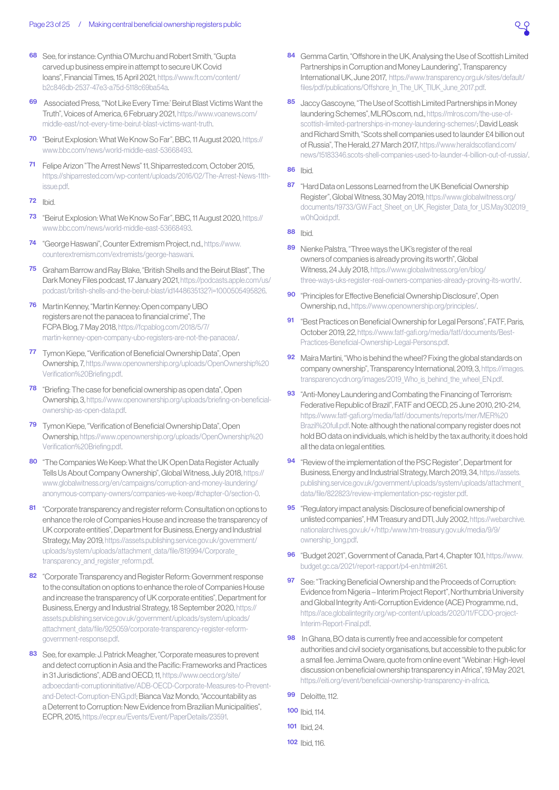- <span id="page-22-0"></span>[68](#page-8-0) See, for instance: Cynthia O'Murchu and Robert Smith, "Gupta carved up business empire in attempt to secure UK Covid loans", Financial Times, 15 April 2021, [https://www.ft.com/content/](https://www.ft.com/content/b2c846db-2537-47e3-a75d-5118c69ba54a) [b2c846db-2537-47e3-a75d-5118c69ba54a.](https://www.ft.com/content/b2c846db-2537-47e3-a75d-5118c69ba54a)
- [69](#page-8-0) Associated Press, "'Not Like Every Time:' Beirut Blast Victims Want the Truth", Voices of America, 6 February 2021, [https://www.voanews.com/](https://www.voanews.com/middle-east/not-every-time-beirut-blast-victims-want-truth) [middle-east/not-every-time-beirut-blast-victims-want-truth](https://www.voanews.com/middle-east/not-every-time-beirut-blast-victims-want-truth).
- [70](#page-8-0) "Beirut Explosion: What We Know So Far", BBC, 11 August 2020, [https://](https://www.bbc.com/news/world-middle-east-53668493) [www.bbc.com/news/world-middle-east-53668493.](https://www.bbc.com/news/world-middle-east-53668493)
- [71](#page-8-0) Felipe Arizon "The Arrest News" 11, Shiparrested.com, October 2015, [https://shiparrested.com/wp-content/uploads/2016/02/The-Arrest-News-11th](https://shiparrested.com/wp-content/uploads/2016/02/The-Arrest-News-11th-issue.pdf)[issue.pdf.](https://shiparrested.com/wp-content/uploads/2016/02/The-Arrest-News-11th-issue.pdf)
- [72](#page-8-0) Ibid.
- [73](#page-9-0) "Beirut Explosion: What We Know So Far", BBC, 11 August 2020, [https://](https://www.bbc.com/news/world-middle-east-53668493) [www.bbc.com/news/world-middle-east-53668493.](https://www.bbc.com/news/world-middle-east-53668493)
- [74](#page-9-0) "George Haswani", Counter Extremism Project, n.d., [https://www.](https://www.counterextremism.com/extremists/george-haswani) [counterextremism.com/extremists/george-haswani](https://www.counterextremism.com/extremists/george-haswani).
- [75](#page-9-0) Graham Barrow and Ray Blake, "British Shells and the Beirut Blast", The Dark Money Files podcast, 17 January 2021, [https://podcasts.apple.com/us/](https://podcasts.apple.com/us/podcast/british-shells-and-the-beirut-blast/id1448635132?i=1000505495826) [podcast/british-shells-and-the-beirut-blast/id1448635132?i=1000505495826.](https://podcasts.apple.com/us/podcast/british-shells-and-the-beirut-blast/id1448635132?i=1000505495826)
- [76](#page-9-0) Martin Kenney, "Martin Kenney: Open company UBO registers are not the panacea to financial crime", The FCPA Blog, 7 May 2018, [https://fcpablog.com/2018/5/7/](https://fcpablog.com/2018/5/7/martin-kenney-open-company-ubo-registers-are-not-the-panacea/) [martin-kenney-open-company-ubo-registers-are-not-the-panacea/.](https://fcpablog.com/2018/5/7/martin-kenney-open-company-ubo-registers-are-not-the-panacea/)
- [77](#page-9-0) Tymon Kiepe, "Verification of Beneficial Ownership Data", Open Ownership, 7, [https://www.openownership.org/uploads/OpenOwnership%20](https://www.openownership.org/uploads/OpenOwnership%20Verification%20Briefing.pdf) [Verification%20Briefing.pdf](https://www.openownership.org/uploads/OpenOwnership%20Verification%20Briefing.pdf).
- **[78](#page-9-0)** "Briefing: The case for beneficial ownership as open data", Open Ownership, 3, [https://www.openownership.org/uploads/briefing-on-beneficial](https://www.openownership.org/uploads/briefing-on-beneficial-ownership-as-open-data.pdf)[ownership-as-open-data.pdf](https://www.openownership.org/uploads/briefing-on-beneficial-ownership-as-open-data.pdf).
- [79](#page-9-0) Tymon Kiepe, "Verification of Beneficial Ownership Data", Open Ownership, [https://www.openownership.org/uploads/OpenOwnership%20](https://www.openownership.org/uploads/OpenOwnership%20Verification%20Briefing.pdf) [Verification%20Briefing.pdf](https://www.openownership.org/uploads/OpenOwnership%20Verification%20Briefing.pdf).
- [80](#page-9-0) "The Companies We Keep: What the UK Open Data Register Actually Tells Us About Company Ownership", Global Witness, July 2018, [https://](https://www.globalwitness.org/en/campaigns/corruption-and-money-laundering/anonymous-company-owners/) [www.globalwitness.org/en/campaigns/corruption-and-money-laundering/](https://www.globalwitness.org/en/campaigns/corruption-and-money-laundering/anonymous-company-owners/) [anonymous-company-owners/companies-we-keep/#chapter-0/section-0.](https://www.globalwitness.org/en/campaigns/corruption-and-money-laundering/anonymous-company-owners/)
- [81](#page-9-0) Corporate transparency and register reform: Consultation on options to enhance the role of Companies House and increase the transparency of UK corporate entities", Department for Business, Energy and Industrial Strategy, May 2019, [https://assets.publishing.service.gov.uk/government/](https://assets.publishing.service.gov.uk/government/uploads/system/uploads/attachment_data/file/819994/Corporate_transparency_and_register_reform.pdf) uploads/system/uploads/attachment\_data/file/819994/Corporate transparency and register reform.pdf.
- [82](#page-9-0) "Corporate Transparency and Register Reform: Government response to the consultation on options to enhance the role of Companies House and increase the transparency of UK corporate entities", Department for Business, Energy and Industrial Strategy, 18 September 2020, [https://](https://assets.publishing.service.gov.uk/government/uploads/system/uploads/attachment_data/file/925059/corporate-transparency-register-reform-government-response.pdf) [assets.publishing.service.gov.uk/government/uploads/system/uploads/](https://assets.publishing.service.gov.uk/government/uploads/system/uploads/attachment_data/file/925059/corporate-transparency-register-reform-government-response.pdf) [attachment\\_data/file/925059/corporate-transparency-register-reform](https://assets.publishing.service.gov.uk/government/uploads/system/uploads/attachment_data/file/925059/corporate-transparency-register-reform-government-response.pdf)[government-response.pdf.](https://assets.publishing.service.gov.uk/government/uploads/system/uploads/attachment_data/file/925059/corporate-transparency-register-reform-government-response.pdf)
- [83](#page-10-1) See, for example: J. Patrick Meagher, "Corporate measures to prevent and detect corruption in Asia and the Pacific: Frameworks and Practices in 31 Jurisdictions", ADB and OECD, 11, [https://www.oecd.org/site/](https://www.oecd.org/site/adboecdanti-corruptioninitiative/ADB-OECD-Corporate-Measures-to-Prevent-and-Detect-Corruption-ENG.pdf) [adboecdanti-corruptioninitiative/ADB-OECD-Corporate-Measures-to-Prevent](https://www.oecd.org/site/adboecdanti-corruptioninitiative/ADB-OECD-Corporate-Measures-to-Prevent-and-Detect-Corruption-ENG.pdf)[and-Detect-Corruption-ENG.pdf](https://www.oecd.org/site/adboecdanti-corruptioninitiative/ADB-OECD-Corporate-Measures-to-Prevent-and-Detect-Corruption-ENG.pdf); Bianca Vaz Mondo, "Accountability as a Deterrent to Corruption: New Evidence from Brazilian Municipalities", ECPR, 2015, [https://ecpr.eu/Events/Event/PaperDetails/23591.](https://ecpr.eu/Events/Event/PaperDetails/23591)
- [84](#page-10-1) Gemma Cartin, "Offshore in the UK, Analysing the Use of Scottish Limited Partnerships in Corruption and Money Laundering", Transparency International UK, June 2017, [https://www.transparency.org.uk/sites/default/](https://www.transparency.org.uk/sites/default/files/pdf/publications/Offshore_In_The_UK_TIUK_June_2017.pdf) [files/pdf/publications/Offshore\\_In\\_The\\_UK\\_TIUK\\_June\\_2017.pdf](https://www.transparency.org.uk/sites/default/files/pdf/publications/Offshore_In_The_UK_TIUK_June_2017.pdf).
- [85](#page-10-1) Jaccy Gascovne, "The Use of Scottish Limited Partnerships in Money laundering Schemes", MLROs.com, n.d., [https://mlros.com/the-use-of](https://mlros.com/the-use-of-scottish-limited-partnerships-in-money-laundering-schemes/)[scottish-limited-partnerships-in-money-laundering-schemes/;](https://mlros.com/the-use-of-scottish-limited-partnerships-in-money-laundering-schemes/) David Leask and Richard Smith, "Scots shell companies used to launder £4 billion out of Russia", The Herald, 27 March 2017, [https://www.heraldscotland.com/](https://www.heraldscotland.com/news/15183346.scots-shell-companies-used-to-launder-4-billion-out-of-russia/) [news/15183346.scots-shell-companies-used-to-launder-4-billion-out-of-russia/.](https://www.heraldscotland.com/news/15183346.scots-shell-companies-used-to-launder-4-billion-out-of-russia/)
- [86](#page-10-1) Ibid.
- [87](#page-10-1) "Hard Data on Lessons Learned from the UK Beneficial Ownership Register", Global Witness, 30 May 2019, [https://www.globalwitness.org/](https://www.globalwitness.org/documents/19733/GW.Fact_Sheet_on_UK_Register_Data_for_US.May302019_ w0hQoid.pdf) [documents/19733/GW.Fact\\_Sheet\\_on\\_UK\\_Register\\_Data\\_for\\_US.May302019\\_](https://www.globalwitness.org/documents/19733/GW.Fact_Sheet_on_UK_Register_Data_for_US.May302019_ w0hQoid.pdf)  [w0hQoid.pdf.](https://www.globalwitness.org/documents/19733/GW.Fact_Sheet_on_UK_Register_Data_for_US.May302019_ w0hQoid.pdf)
- **[88](#page-10-1)** Ibid.
- [89](#page-10-1) Nienke Palstra, "Three ways the UK's register of the real owners of companies is already proving its worth", Global Witness, 24 July 2018, [https://www.globalwitness.org/en/blog/](https://www.globalwitness.org/en/blog/three-ways-uks-register-real-owners-companies-already-proving-its-worth/) [three-ways-uks-register-real-owners-companies-already-proving-its-worth/](https://www.globalwitness.org/en/blog/three-ways-uks-register-real-owners-companies-already-proving-its-worth/).
- [90](#page-11-0) "Principles for Effective Beneficial Ownership Disclosure", Open Ownership, n.d., [https://www.openownership.org/principles/.](https://www.openownership.org/principles/)
- [91](#page-11-0) "Best Practices on Beneficial Ownership for Legal Persons", FATF, Paris, October 2019, 22, [https://www.fatf-gafi.org/media/fatf/documents/Best-](https://www.fatf-gafi.org/media/fatf/documents/Best-Practices-Beneficial-Ownership-Legal-Persons.pdf)[Practices-Beneficial-Ownership-Legal-Persons.pdf](https://www.fatf-gafi.org/media/fatf/documents/Best-Practices-Beneficial-Ownership-Legal-Persons.pdf).
- [92](#page-11-0) Maíra Martini, "Who is behind the wheel? Fixing the global standards on company ownership", Transparency International, 2019, 3, [https://images.](https://images.transparencycdn.org/images/2019_Who_is_behind_the_wheel_EN.pdf) transparencycdn.org/images/2019 Who is behind the wheel EN.pdf.
- [93](#page-11-0) "Anti-Money Laundering and Combating the Financing of Terrorism: Federative Republic of Brazil", FATF and OECD, 25 June 2010, 210-214, [https://www.fatf-gafi.org/media/fatf/documents/reports/mer/MER%20](https://www.fatf-gafi.org/media/fatf/documents/reports/mer/MER%20Brazil%20full.pdf) [Brazil%20full.pdf.](https://www.fatf-gafi.org/media/fatf/documents/reports/mer/MER%20Brazil%20full.pdf) Note: although the national company register does not hold BO data on individuals, which is held by the tax authority, it does hold all the data on legal entities.
- [94](#page-11-0) "Review of the implementation of the PSC Register", Department for Business, Energy and Industrial Strategy, March 2019, 34, [https://assets.](https://assets.publishing.service.gov.uk/government/uploads/system/uploads/attachment_data/file/822823/review-implementation-psc-register.pdf) [publishing.service.gov.uk/government/uploads/system/uploads/attachment\\_](https://assets.publishing.service.gov.uk/government/uploads/system/uploads/attachment_data/file/822823/review-implementation-psc-register.pdf) [data/file/822823/review-implementation-psc-register.pdf.](https://assets.publishing.service.gov.uk/government/uploads/system/uploads/attachment_data/file/822823/review-implementation-psc-register.pdf)
- [95](#page-11-0) "Regulatory impact analysis: Disclosure of beneficial ownership of unlisted companies", HM Treasury and DTI, July 2002, [https://webarchive.](https://webarchive.nationalarchives.gov.uk/+/http:/www.hm-treasury.gov.uk/media/9/9/ownership_long.pdf) [nationalarchives.gov.uk/+/http:/www.hm-treasury.gov.uk/media/9/9/](https://webarchive.nationalarchives.gov.uk/+/http:/www.hm-treasury.gov.uk/media/9/9/ownership_long.pdf) [ownership\\_long.pdf](https://webarchive.nationalarchives.gov.uk/+/http:/www.hm-treasury.gov.uk/media/9/9/ownership_long.pdf).
- [96](#page-11-0) "Budget 2021", Government of Canada, Part 4, Chapter 10.1, [https://www.](https://www.budget.gc.ca/2021/report-rapport/p4-en.html#261) [budget.gc.ca/2021/report-rapport/p4-en.html#261](https://www.budget.gc.ca/2021/report-rapport/p4-en.html#261).
- [97](#page-11-0) See: "Tracking Beneficial Ownership and the Proceeds of Corruption: Evidence from Nigeria – Interim Project Report", Northumbria University and Global Integrity Anti-Corruption Evidence (ACE) Programme, n.d., [https://ace.globalintegrity.org/wp-content/uploads/2020/11/FCDO-project-](https://ace.globalintegrity.org/wp-content/uploads/2020/11/FCDO-project-Interim-Report-Final.pdf)[Interim-Report-Final.pdf.](https://ace.globalintegrity.org/wp-content/uploads/2020/11/FCDO-project-Interim-Report-Final.pdf)
- [98](#page-12-0) In Ghana, BO data is currently free and accessible for competent authorities and civil society organisations, but accessible to the public for a small fee. Jemima Oware, quote from online event "Webinar: High-level discussion on beneficial ownership transparency in Africa", 19 May 2021, <https://eiti.org/event/beneficial-ownership-transparency-in-africa>.
- **[99](#page-12-0)** Deloitte, 112.
- [100](#page-12-0) Ibid, 114.
- [101](#page-12-0) Ibid 24
- [102](#page-12-0) Ibid, 116.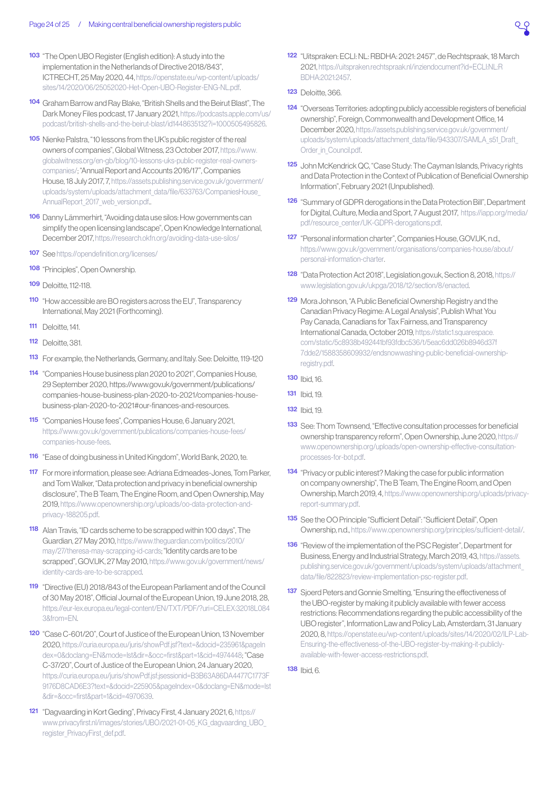- <span id="page-23-0"></span>[103](#page-12-0) "The Open UBO Register (English edition): A study into the implementation in the Netherlands of Directive 2018/843", ICTRECHT, 25 May 2020, 44, [https://openstate.eu/wp-content/uploads/](https://openstate.eu/wp-content/uploads/sites/14/2020/06/25052020-Het-Open-UBO-Register-ENG-NL.pdf) [sites/14/2020/06/25052020-Het-Open-UBO-Register-ENG-NL.pdf](https://openstate.eu/wp-content/uploads/sites/14/2020/06/25052020-Het-Open-UBO-Register-ENG-NL.pdf).
- [104](#page-12-0) Graham Barrow and Ray Blake, "British Shells and the Beirut Blast", The Dark Money Files podcast, 17 January 2021, [https://podcasts.apple.com/us/](https://podcasts.apple.com/us/podcast/british-shells-and-the-beirut-blast/id1448635132?i=1000505495826) [podcast/british-shells-and-the-beirut-blast/id1448635132?i=1000505495826.](https://podcasts.apple.com/us/podcast/british-shells-and-the-beirut-blast/id1448635132?i=1000505495826)
- [105](#page-12-0) Nienke Palstra, "10 lessons from the UK's public register of the real owners of companies", Global Witness, 23 October 2017, [https://www.](https://www.globalwitness.org/en-gb/blog/10-lessons-uks-public-register-real-owners-companies/) [globalwitness.org/en-gb/blog/10-lessons-uks-public-register-real-owners](https://www.globalwitness.org/en-gb/blog/10-lessons-uks-public-register-real-owners-companies/)[companies/](https://www.globalwitness.org/en-gb/blog/10-lessons-uks-public-register-real-owners-companies/); "Annual Report and Accounts 2016/17", Companies House, 18 July 2017, 7, [https://assets.publishing.service.gov.uk/government/](https://assets.publishing.service.gov.uk/government/uploads/system/uploads/attachment_data/file/633763/CompaniesHouse_AnnualReport_2017_web_version.pdf) [uploads/system/uploads/attachment\\_data/file/633763/CompaniesHouse\\_](https://assets.publishing.service.gov.uk/government/uploads/system/uploads/attachment_data/file/633763/CompaniesHouse_AnnualReport_2017_web_version.pdf) AnnualReport 2017 web version.pdf..
- [106](#page-12-0) Danny Lämmerhirt, "Avoiding data use silos: How governments can simplify the open licensing landscape", Open Knowledge International, December 2017,<https://research.okfn.org/avoiding-data-use-silos/>
- [107](#page-12-0) See<https://opendefinition.org/licenses/>
- [108](#page-12-0) "Principles", Open Ownership.
- **[109](#page-12-0)** Deloitte, 112-118.
- [110](#page-12-0) "How accessible are BO registers across the EU", Transparency International, May 2021 (Forthcoming).
- **[111](#page-13-0)** Deloitte, 141.
- [112](#page-13-0) Deloitte, 381.
- [113](#page-13-0) For example, the Netherlands, Germany, and Italy. See: Deloitte, 119-120
- [114](#page-13-0) "Companies House business plan 2020 to 2021", Companies House, 29 September 2020, [https://www.gov.uk/government/publications/](https://www.gov.uk/government/publications/companies-house-business-plan-2020-to-2021/companies-house-business-plan-2020-to-2021#our-finances-and-resources) [companies-house-business-plan-2020-to-2021/companies-house](https://www.gov.uk/government/publications/companies-house-business-plan-2020-to-2021/companies-house-business-plan-2020-to-2021#our-finances-and-resources)[business-plan-2020-to-2021#our-finances-and-resources](https://www.gov.uk/government/publications/companies-house-business-plan-2020-to-2021/companies-house-business-plan-2020-to-2021#our-finances-and-resources).
- [115](#page-13-0) "Companies House fees", Companies House, 6 January 2021, [https://www.gov.uk/government/publications/companies-house-fees/](https://www.gov.uk/government/publications/companies-house-fees/companies-house-fees) [companies-house-fees.](https://www.gov.uk/government/publications/companies-house-fees/companies-house-fees)
- [116](#page-13-0) "Ease of doing business in United Kingdom", World Bank, 2020, [te.](https://www.doingbusiness.org/en/data/exploreeconomies/united-kingdom#DB_sb)
- [117](#page-13-0) For more information, please see: Adriana Edmeades-Jones, Tom Parker, and Tom Walker, "Data protection and privacy in beneficial ownership disclosure", The B Team, The Engine Room, and Open Ownership, May 2019, [https://www.openownership.org/uploads/oo-data-protection-and](https://www.openownership.org/uploads/oo-data-protection-and-privacy-188205.pdf)[privacy-188205.pdf.](https://www.openownership.org/uploads/oo-data-protection-and-privacy-188205.pdf)
- [118](#page-13-0) Alan Travis, "ID cards scheme to be scrapped within 100 days", The Guardian, 27 May 2010, [https://www.theguardian.com/politics/2010/](https://www.theguardian.com/politics/2010/may/27/theresa-may-scrapping-id-cards) [may/27/theresa-may-scrapping-id-cards;](https://www.theguardian.com/politics/2010/may/27/theresa-may-scrapping-id-cards) "Identity cards are to be scrapped", GOV.UK, 27 May 2010, [https://www.gov.uk/government/news/](https://www.gov.uk/government/news/identity-cards-are-to-be-scrapped) [identity-cards-are-to-be-scrapped](https://www.gov.uk/government/news/identity-cards-are-to-be-scrapped).
- [119](#page-14-2) "Directive (EU) 2018/843 of the European Parliament and of the Council of 30 May 2018", Official Journal of the European Union, 19 June 2018, 28, [https://eur-lex.europa.eu/legal-content/EN/TXT/PDF/?uri=CELEX:32018L084](https://eur-lex.europa.eu/legal-content/EN/TXT/PDF/?uri=CELEX:32018L0843&from=EN) [3&from=EN](https://eur-lex.europa.eu/legal-content/EN/TXT/PDF/?uri=CELEX:32018L0843&from=EN).
- [120](#page-14-2) "Case C-601/20", Court of Justice of the European Union, 13 November 2020, [https://curia.europa.eu/juris/showPdf.jsf?text=&docid=235961&pageIn](https://curia.europa.eu/juris/showPdf.jsf?text=&docid=235961&pageIndex=0&doclang=EN&mode=lst&dir=&occ=first&part=1&cid=4974448) [dex=0&doclang=EN&mode=lst&dir=&occ=first&part=1&cid=4974448;](https://curia.europa.eu/juris/showPdf.jsf?text=&docid=235961&pageIndex=0&doclang=EN&mode=lst&dir=&occ=first&part=1&cid=4974448) "Case C-37/20", Court of Justice of the European Union, 24 January 2020, [https://curia.europa.eu/juris/showPdf.jsf;jsessionid=B3B63A86DA4477C1773F](https://curia.europa.eu/juris/showPdf.jsf;jsessionid=B3B63A86DA4477C1773F9176D8CAD6E3?text=&docid=225905&pageIndex=0&doclang=EN&mode=lst&dir=&occ=first&part=1&cid=4970639) [9176D8CAD6E3?text=&docid=225905&pageIndex=0&doclang=EN&mode=lst](https://curia.europa.eu/juris/showPdf.jsf;jsessionid=B3B63A86DA4477C1773F9176D8CAD6E3?text=&docid=225905&pageIndex=0&doclang=EN&mode=lst&dir=&occ=first&part=1&cid=4970639) [&dir=&occ=first&part=1&cid=4970639](https://curia.europa.eu/juris/showPdf.jsf;jsessionid=B3B63A86DA4477C1773F9176D8CAD6E3?text=&docid=225905&pageIndex=0&doclang=EN&mode=lst&dir=&occ=first&part=1&cid=4970639).
- [121](#page-14-2) "Dagvaarding in Kort Geding", Privacy First, 4 January 2021, 6, [https://](https://www.privacyfirst.nl/images/stories/UBO/2021-01-05_KG_dagvaarding_UBO_register_PrivacyFirst_def.pdf) [www.privacyfirst.nl/images/stories/UBO/2021-01-05\\_KG\\_dagvaarding\\_UBO\\_](https://www.privacyfirst.nl/images/stories/UBO/2021-01-05_KG_dagvaarding_UBO_register_PrivacyFirst_def.pdf) [register\\_PrivacyFirst\\_def.pdf](https://www.privacyfirst.nl/images/stories/UBO/2021-01-05_KG_dagvaarding_UBO_register_PrivacyFirst_def.pdf).
- [122](#page-14-2) "Uitspraken: ECLI: NL: RBDHA: 2021: 2457", de Rechtspraak, 18 March 2021, [https://uitspraken.rechtspraak.nl/inziendocument?id=ECLI:NL:R](https://uitspraken.rechtspraak.nl/inziendocument?id=ECLI:NL:RBDHA:2021:2457) [BDHA:2021:2457.](https://uitspraken.rechtspraak.nl/inziendocument?id=ECLI:NL:RBDHA:2021:2457)
- **[123](#page-14-2)** Deloitte, 366.
- [124](#page-15-1) "Overseas Territories: adopting publicly accessible registers of beneficial ownership", Foreign, Commonwealth and Development Office, 14 December 2020, [https://assets.publishing.service.gov.uk/government/](https://assets.publishing.service.gov.uk/government/uploads/system/uploads/attachment_data/file/943307/SAMLA_s51_Draft_Order_in_Council.pdf) uploads/system/uploads/attachment\_data/file/943307/SAMLA\_s51\_Draft Order in Council.pdf.
- [125](#page-15-1) John McKendrick QC, "Case Study: The Cayman Islands, Privacy rights and Data Protection in the Context of Publication of Beneficial Ownership Information", February 2021 (Unpublished).
- [126](#page-15-1) "Summary of GDPR derogations in the Data Protection Bill", Department for Digital, Culture, Media and Sport, 7 August 2017, [https://iapp.org/media/](https://iapp.org/media/pdf/resource_center/UK-GDPR-derogations.pdf) [pdf/resource\\_center/UK-GDPR-derogations.pdf.](https://iapp.org/media/pdf/resource_center/UK-GDPR-derogations.pdf)
- [127](#page-15-1) "Personal information charter", Companies House, GOV.UK, n.d., [https://www.gov.uk/government/organisations/companies-house/about/](https://www.gov.uk/government/organisations/companies-house/about/personal-information-charter) [personal-information-charter](https://www.gov.uk/government/organisations/companies-house/about/personal-information-charter).
- [128](#page-15-1) "Data Protection Act 2018", Legislation.gov.uk, Section 8, 2018, [https://](https://www.legislation.gov.uk/ukpga/2018/12/section/8/enacted) [www.legislation.gov.uk/ukpga/2018/12/section/8/enacted](https://www.legislation.gov.uk/ukpga/2018/12/section/8/enacted).
- [129](#page-16-0) Mora Johnson, "A Public Beneficial Ownership Registry and the Canadian Privacy Regime: A Legal Analysis", Publish What You Pay Canada, Canadians for Tax Fairness, and Transparency International Canada, October 2019, [https://static1.squarespace.](https://static1.squarespace.com/static/5c8938b492441bf93fdbc536/t/5eac6dd026b8946d37f7dde2/1588358609932/endsnowwashing-public-beneficial-ownership-registry.pdf) [com/static/5c8938b492441bf93fdbc536/t/5eac6dd026b8946d37f](https://static1.squarespace.com/static/5c8938b492441bf93fdbc536/t/5eac6dd026b8946d37f7dde2/1588358609932/endsnowwashing-public-beneficial-ownership-registry.pdf) [7dde2/1588358609932/endsnowwashing-public-beneficial-ownership](https://static1.squarespace.com/static/5c8938b492441bf93fdbc536/t/5eac6dd026b8946d37f7dde2/1588358609932/endsnowwashing-public-beneficial-ownership-registry.pdf)[registry.pdf.](https://static1.squarespace.com/static/5c8938b492441bf93fdbc536/t/5eac6dd026b8946d37f7dde2/1588358609932/endsnowwashing-public-beneficial-ownership-registry.pdf)
- [130](#page-16-0) Ibid, 16.
- [131](#page-16-0) Ibid, 19.
- [132](#page-16-0) Ibid 19
- [133](#page-16-0) See: Thom Townsend, "Effective consultation processes for beneficial ownership transparency reform", Open Ownership, June 2020, [https://](https://www.openownership.org/uploads/open-ownership-effective-consultation-processes-for-bot.pdf) [www.openownership.org/uploads/open-ownership-effective-consultation](https://www.openownership.org/uploads/open-ownership-effective-consultation-processes-for-bot.pdf)[processes-for-bot.pdf.](https://www.openownership.org/uploads/open-ownership-effective-consultation-processes-for-bot.pdf)
- [134](#page-16-0) "Privacy or public interest? Making the case for public information on company ownership", The B Team, The Engine Room, and Open Ownership, March 2019, 4, [https://www.openownership.org/uploads/privacy](https://www.openownership.org/uploads/privacy-report-summary.pdf)[report-summary.pdf](https://www.openownership.org/uploads/privacy-report-summary.pdf).
- [135](#page-16-0) See the OO Principle "Sufficient Detail": "Sufficient Detail", Open Ownership, n.d.,<https://www.openownership.org/principles/sufficient-detail/>.
- [136](#page-18-1) "Review of the implementation of the PSC Register", Department for Business, Energy and Industrial Strategy, March 2019, 43, [https://assets.](https://assets.publishing.service.gov.uk/government/uploads/system/uploads/attachment_data/file/822823/review-implementation-psc-register.pdf) [publishing.service.gov.uk/government/uploads/system/uploads/attachment\\_](https://assets.publishing.service.gov.uk/government/uploads/system/uploads/attachment_data/file/822823/review-implementation-psc-register.pdf) [data/file/822823/review-implementation-psc-register.pdf.](https://assets.publishing.service.gov.uk/government/uploads/system/uploads/attachment_data/file/822823/review-implementation-psc-register.pdf)
- [137](#page-17-2) Sjoerd Peters and Gonnie Smelting, "Ensuring the effectiveness of the UBO-register by making it publicly available with fewer access restrictions: Recommendations regarding the public accessibility of the UBO register", Information Law and Policy Lab, Amsterdam, 31 January 2020, 8, [https://openstate.eu/wp-content/uploads/sites/14/2020/02/ILP-Lab-](https://openstate.eu/wp-content/uploads/sites/14/2020/02/ILP-Lab-Ensuring-the-effectiveness-of-the-UBO-register-by-making-it-publicly-available-with-fewer-access-restrictions.pdf)[Ensuring-the-effectiveness-of-the-UBO-register-by-making-it-publicly](https://openstate.eu/wp-content/uploads/sites/14/2020/02/ILP-Lab-Ensuring-the-effectiveness-of-the-UBO-register-by-making-it-publicly-available-with-fewer-access-restrictions.pdf)[available-with-fewer-access-restrictions.pdf](https://openstate.eu/wp-content/uploads/sites/14/2020/02/ILP-Lab-Ensuring-the-effectiveness-of-the-UBO-register-by-making-it-publicly-available-with-fewer-access-restrictions.pdf).
- [138](#page-17-2) Ibid, 6.